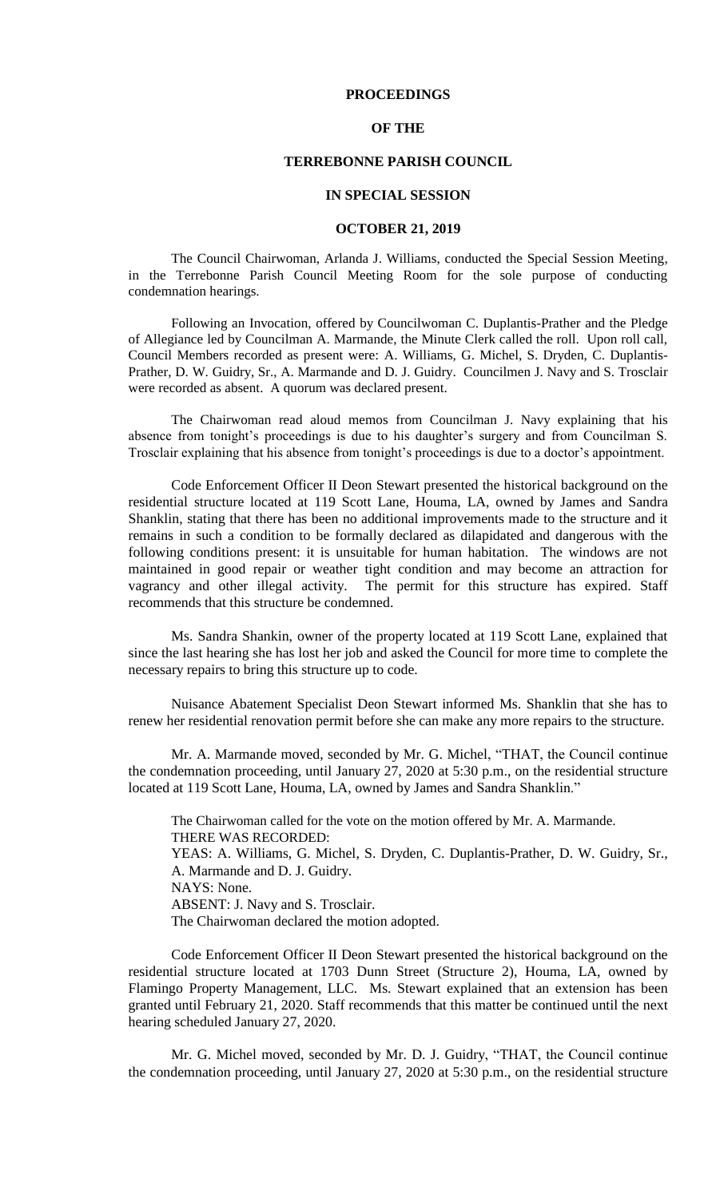## **PROCEEDINGS**

## **OF THE**

## **TERREBONNE PARISH COUNCIL**

#### **IN SPECIAL SESSION**

### **OCTOBER 21, 2019**

The Council Chairwoman, Arlanda J. Williams, conducted the Special Session Meeting, in the Terrebonne Parish Council Meeting Room for the sole purpose of conducting condemnation hearings.

Following an Invocation, offered by Councilwoman C. Duplantis-Prather and the Pledge of Allegiance led by Councilman A. Marmande, the Minute Clerk called the roll. Upon roll call, Council Members recorded as present were: A. Williams, G. Michel, S. Dryden, C. Duplantis-Prather, D. W. Guidry, Sr., A. Marmande and D. J. Guidry. Councilmen J. Navy and S. Trosclair were recorded as absent. A quorum was declared present.

The Chairwoman read aloud memos from Councilman J. Navy explaining that his absence from tonight's proceedings is due to his daughter's surgery and from Councilman S. Trosclair explaining that his absence from tonight's proceedings is due to a doctor's appointment.

Code Enforcement Officer II Deon Stewart presented the historical background on the residential structure located at 119 Scott Lane, Houma, LA, owned by James and Sandra Shanklin, stating that there has been no additional improvements made to the structure and it remains in such a condition to be formally declared as dilapidated and dangerous with the following conditions present: it is unsuitable for human habitation. The windows are not maintained in good repair or weather tight condition and may become an attraction for vagrancy and other illegal activity. The permit for this structure has expired. Staff recommends that this structure be condemned.

Ms. Sandra Shankin, owner of the property located at 119 Scott Lane, explained that since the last hearing she has lost her job and asked the Council for more time to complete the necessary repairs to bring this structure up to code.

Nuisance Abatement Specialist Deon Stewart informed Ms. Shanklin that she has to renew her residential renovation permit before she can make any more repairs to the structure.

Mr. A. Marmande moved, seconded by Mr. G. Michel, "THAT, the Council continue the condemnation proceeding, until January 27, 2020 at 5:30 p.m., on the residential structure located at 119 Scott Lane, Houma, LA, owned by James and Sandra Shanklin."

The Chairwoman called for the vote on the motion offered by Mr. A. Marmande. THERE WAS RECORDED: YEAS: A. Williams, G. Michel, S. Dryden, C. Duplantis-Prather, D. W. Guidry, Sr., A. Marmande and D. J. Guidry. NAYS: None. ABSENT: J. Navy and S. Trosclair. The Chairwoman declared the motion adopted.

Code Enforcement Officer II Deon Stewart presented the historical background on the residential structure located at 1703 Dunn Street (Structure 2), Houma, LA, owned by Flamingo Property Management, LLC. Ms. Stewart explained that an extension has been granted until February 21, 2020. Staff recommends that this matter be continued until the next hearing scheduled January 27, 2020.

Mr. G. Michel moved, seconded by Mr. D. J. Guidry, "THAT, the Council continue the condemnation proceeding, until January 27, 2020 at 5:30 p.m., on the residential structure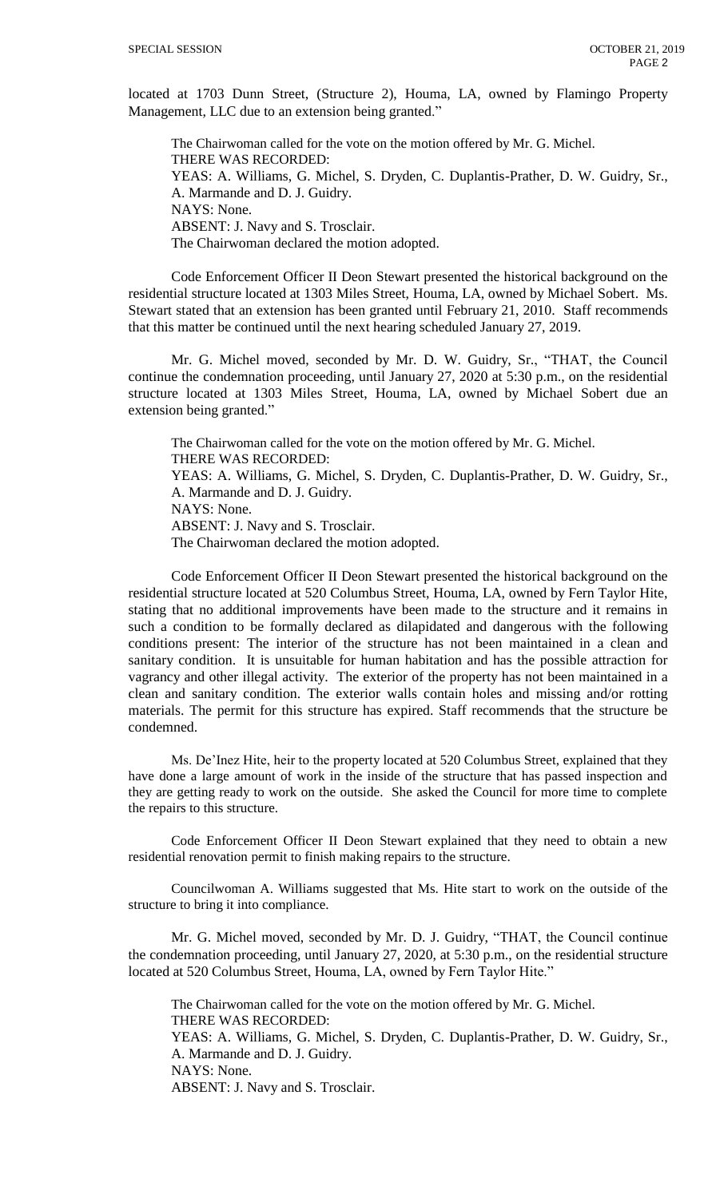located at 1703 Dunn Street, (Structure 2), Houma, LA, owned by Flamingo Property Management, LLC due to an extension being granted."

The Chairwoman called for the vote on the motion offered by Mr. G. Michel. THERE WAS RECORDED: YEAS: A. Williams, G. Michel, S. Dryden, C. Duplantis-Prather, D. W. Guidry, Sr., A. Marmande and D. J. Guidry. NAYS: None. ABSENT: J. Navy and S. Trosclair. The Chairwoman declared the motion adopted.

Code Enforcement Officer II Deon Stewart presented the historical background on the residential structure located at 1303 Miles Street, Houma, LA, owned by Michael Sobert. Ms. Stewart stated that an extension has been granted until February 21, 2010. Staff recommends that this matter be continued until the next hearing scheduled January 27, 2019.

Mr. G. Michel moved, seconded by Mr. D. W. Guidry, Sr., "THAT, the Council continue the condemnation proceeding, until January 27, 2020 at 5:30 p.m., on the residential structure located at 1303 Miles Street, Houma, LA, owned by Michael Sobert due an extension being granted."

The Chairwoman called for the vote on the motion offered by Mr. G. Michel. THERE WAS RECORDED: YEAS: A. Williams, G. Michel, S. Dryden, C. Duplantis-Prather, D. W. Guidry, Sr., A. Marmande and D. J. Guidry. NAYS: None. ABSENT: J. Navy and S. Trosclair. The Chairwoman declared the motion adopted.

Code Enforcement Officer II Deon Stewart presented the historical background on the residential structure located at 520 Columbus Street, Houma, LA, owned by Fern Taylor Hite, stating that no additional improvements have been made to the structure and it remains in such a condition to be formally declared as dilapidated and dangerous with the following conditions present: The interior of the structure has not been maintained in a clean and sanitary condition. It is unsuitable for human habitation and has the possible attraction for vagrancy and other illegal activity. The exterior of the property has not been maintained in a clean and sanitary condition. The exterior walls contain holes and missing and/or rotting materials. The permit for this structure has expired. Staff recommends that the structure be condemned.

Ms. De'Inez Hite, heir to the property located at 520 Columbus Street, explained that they have done a large amount of work in the inside of the structure that has passed inspection and they are getting ready to work on the outside. She asked the Council for more time to complete the repairs to this structure.

Code Enforcement Officer II Deon Stewart explained that they need to obtain a new residential renovation permit to finish making repairs to the structure.

Councilwoman A. Williams suggested that Ms. Hite start to work on the outside of the structure to bring it into compliance.

Mr. G. Michel moved, seconded by Mr. D. J. Guidry, "THAT, the Council continue the condemnation proceeding, until January 27, 2020, at 5:30 p.m., on the residential structure located at 520 Columbus Street, Houma, LA, owned by Fern Taylor Hite."

The Chairwoman called for the vote on the motion offered by Mr. G. Michel. THERE WAS RECORDED: YEAS: A. Williams, G. Michel, S. Dryden, C. Duplantis-Prather, D. W. Guidry, Sr., A. Marmande and D. J. Guidry. NAYS: None. ABSENT: J. Navy and S. Trosclair.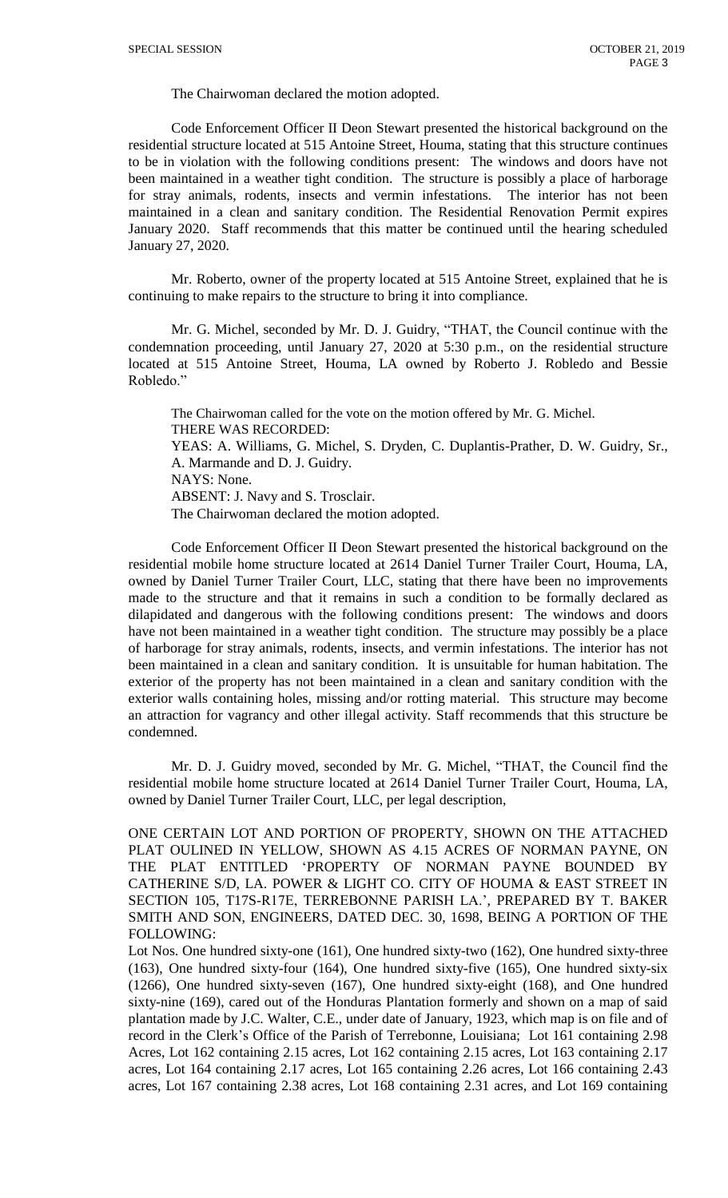The Chairwoman declared the motion adopted.

Code Enforcement Officer II Deon Stewart presented the historical background on the residential structure located at 515 Antoine Street, Houma, stating that this structure continues to be in violation with the following conditions present: The windows and doors have not been maintained in a weather tight condition. The structure is possibly a place of harborage for stray animals, rodents, insects and vermin infestations. The interior has not been maintained in a clean and sanitary condition. The Residential Renovation Permit expires January 2020. Staff recommends that this matter be continued until the hearing scheduled January 27, 2020.

Mr. Roberto, owner of the property located at 515 Antoine Street, explained that he is continuing to make repairs to the structure to bring it into compliance.

Mr. G. Michel, seconded by Mr. D. J. Guidry, "THAT, the Council continue with the condemnation proceeding, until January 27, 2020 at 5:30 p.m., on the residential structure located at 515 Antoine Street, Houma, LA owned by Roberto J. Robledo and Bessie Robledo."

The Chairwoman called for the vote on the motion offered by Mr. G. Michel. THERE WAS RECORDED: YEAS: A. Williams, G. Michel, S. Dryden, C. Duplantis-Prather, D. W. Guidry, Sr., A. Marmande and D. J. Guidry. NAYS: None. ABSENT: J. Navy and S. Trosclair. The Chairwoman declared the motion adopted.

Code Enforcement Officer II Deon Stewart presented the historical background on the residential mobile home structure located at 2614 Daniel Turner Trailer Court, Houma, LA, owned by Daniel Turner Trailer Court, LLC, stating that there have been no improvements made to the structure and that it remains in such a condition to be formally declared as dilapidated and dangerous with the following conditions present: The windows and doors have not been maintained in a weather tight condition. The structure may possibly be a place of harborage for stray animals, rodents, insects, and vermin infestations. The interior has not been maintained in a clean and sanitary condition. It is unsuitable for human habitation. The exterior of the property has not been maintained in a clean and sanitary condition with the exterior walls containing holes, missing and/or rotting material. This structure may become an attraction for vagrancy and other illegal activity. Staff recommends that this structure be condemned.

Mr. D. J. Guidry moved, seconded by Mr. G. Michel, "THAT, the Council find the residential mobile home structure located at 2614 Daniel Turner Trailer Court, Houma, LA, owned by Daniel Turner Trailer Court, LLC, per legal description,

ONE CERTAIN LOT AND PORTION OF PROPERTY, SHOWN ON THE ATTACHED PLAT OULINED IN YELLOW, SHOWN AS 4.15 ACRES OF NORMAN PAYNE, ON THE PLAT ENTITLED 'PROPERTY OF NORMAN PAYNE BOUNDED BY CATHERINE S/D, LA. POWER & LIGHT CO. CITY OF HOUMA & EAST STREET IN SECTION 105, T17S-R17E, TERREBONNE PARISH LA.', PREPARED BY T. BAKER SMITH AND SON, ENGINEERS, DATED DEC. 30, 1698, BEING A PORTION OF THE FOLLOWING:

Lot Nos. One hundred sixty-one (161), One hundred sixty-two (162), One hundred sixty-three (163), One hundred sixty-four (164), One hundred sixty-five (165), One hundred sixty-six (1266), One hundred sixty-seven (167), One hundred sixty-eight (168), and One hundred sixty-nine (169), cared out of the Honduras Plantation formerly and shown on a map of said plantation made by J.C. Walter, C.E., under date of January, 1923, which map is on file and of record in the Clerk's Office of the Parish of Terrebonne, Louisiana; Lot 161 containing 2.98 Acres, Lot 162 containing 2.15 acres, Lot 162 containing 2.15 acres, Lot 163 containing 2.17 acres, Lot 164 containing 2.17 acres, Lot 165 containing 2.26 acres, Lot 166 containing 2.43 acres, Lot 167 containing 2.38 acres, Lot 168 containing 2.31 acres, and Lot 169 containing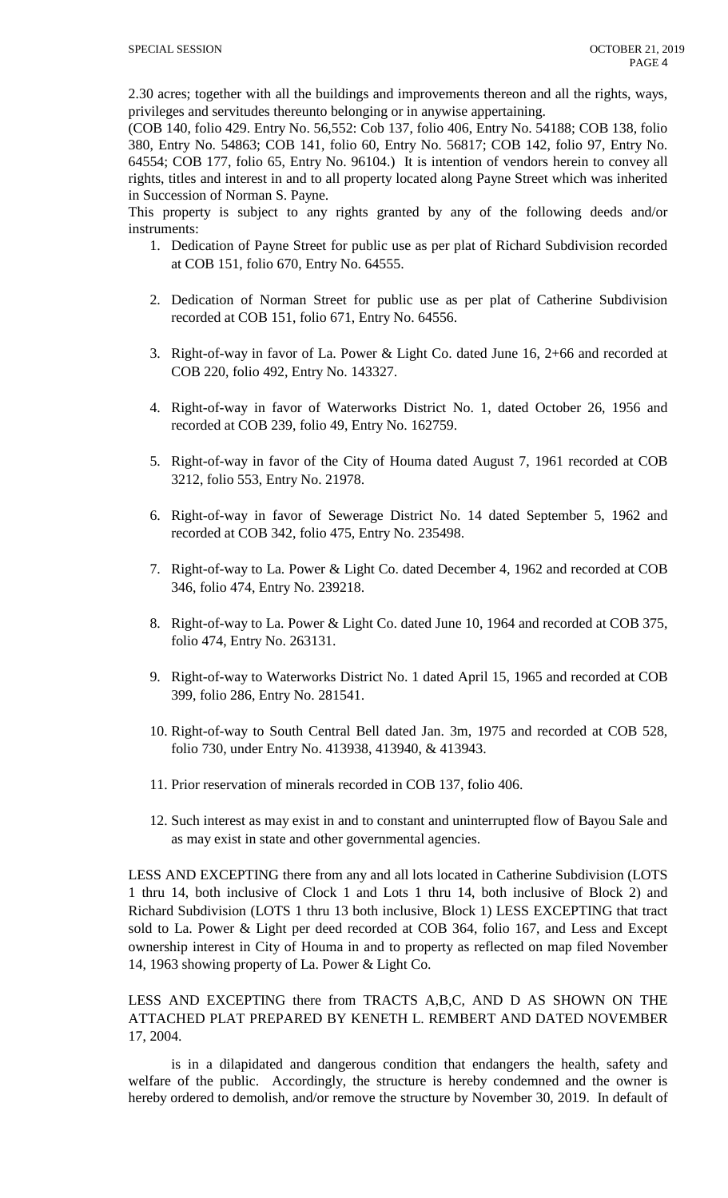2.30 acres; together with all the buildings and improvements thereon and all the rights, ways, privileges and servitudes thereunto belonging or in anywise appertaining.

(COB 140, folio 429. Entry No. 56,552: Cob 137, folio 406, Entry No. 54188; COB 138, folio 380, Entry No. 54863; COB 141, folio 60, Entry No. 56817; COB 142, folio 97, Entry No. 64554; COB 177, folio 65, Entry No. 96104.) It is intention of vendors herein to convey all rights, titles and interest in and to all property located along Payne Street which was inherited in Succession of Norman S. Payne.

This property is subject to any rights granted by any of the following deeds and/or instruments:

- 1. Dedication of Payne Street for public use as per plat of Richard Subdivision recorded at COB 151, folio 670, Entry No. 64555.
- 2. Dedication of Norman Street for public use as per plat of Catherine Subdivision recorded at COB 151, folio 671, Entry No. 64556.
- 3. Right-of-way in favor of La. Power & Light Co. dated June 16, 2+66 and recorded at COB 220, folio 492, Entry No. 143327.
- 4. Right-of-way in favor of Waterworks District No. 1, dated October 26, 1956 and recorded at COB 239, folio 49, Entry No. 162759.
- 5. Right-of-way in favor of the City of Houma dated August 7, 1961 recorded at COB 3212, folio 553, Entry No. 21978.
- 6. Right-of-way in favor of Sewerage District No. 14 dated September 5, 1962 and recorded at COB 342, folio 475, Entry No. 235498.
- 7. Right-of-way to La. Power & Light Co. dated December 4, 1962 and recorded at COB 346, folio 474, Entry No. 239218.
- 8. Right-of-way to La. Power & Light Co. dated June 10, 1964 and recorded at COB 375, folio 474, Entry No. 263131.
- 9. Right-of-way to Waterworks District No. 1 dated April 15, 1965 and recorded at COB 399, folio 286, Entry No. 281541.
- 10. Right-of-way to South Central Bell dated Jan. 3m, 1975 and recorded at COB 528, folio 730, under Entry No. 413938, 413940, & 413943.
- 11. Prior reservation of minerals recorded in COB 137, folio 406.
- 12. Such interest as may exist in and to constant and uninterrupted flow of Bayou Sale and as may exist in state and other governmental agencies.

LESS AND EXCEPTING there from any and all lots located in Catherine Subdivision (LOTS 1 thru 14, both inclusive of Clock 1 and Lots 1 thru 14, both inclusive of Block 2) and Richard Subdivision (LOTS 1 thru 13 both inclusive, Block 1) LESS EXCEPTING that tract sold to La. Power & Light per deed recorded at COB 364, folio 167, and Less and Except ownership interest in City of Houma in and to property as reflected on map filed November 14, 1963 showing property of La. Power & Light Co.

LESS AND EXCEPTING there from TRACTS A,B,C, AND D AS SHOWN ON THE ATTACHED PLAT PREPARED BY KENETH L. REMBERT AND DATED NOVEMBER 17, 2004.

is in a dilapidated and dangerous condition that endangers the health, safety and welfare of the public. Accordingly, the structure is hereby condemned and the owner is hereby ordered to demolish, and/or remove the structure by November 30, 2019. In default of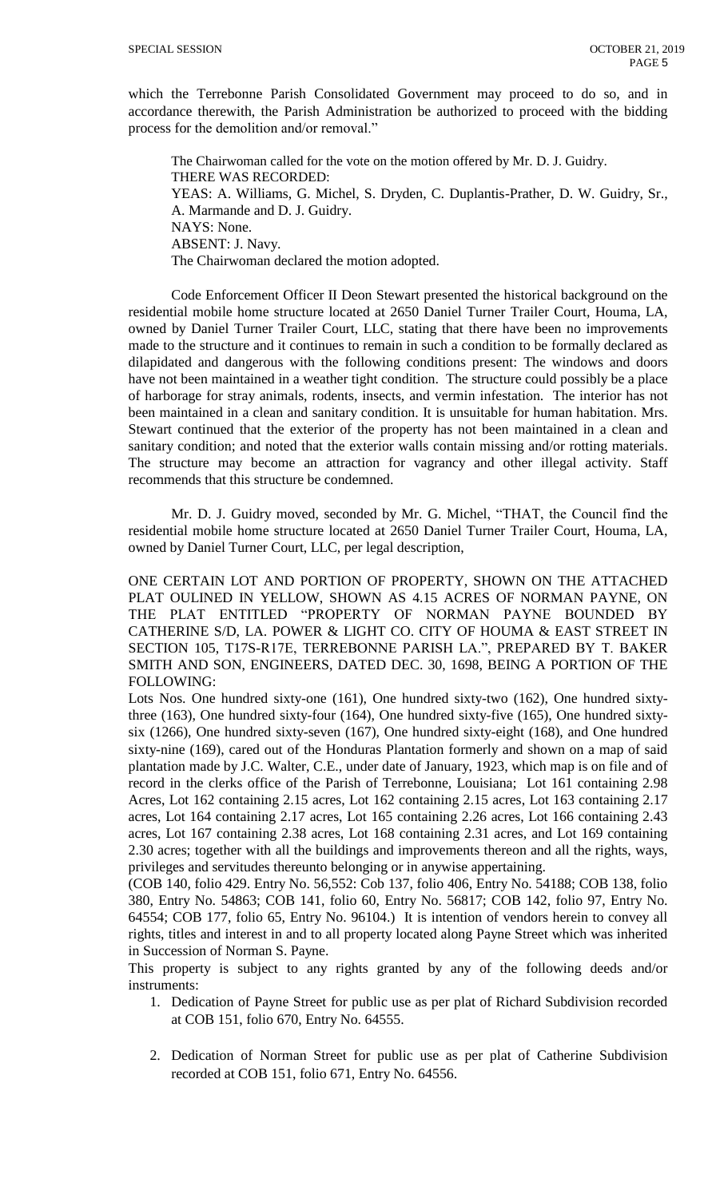which the Terrebonne Parish Consolidated Government may proceed to do so, and in accordance therewith, the Parish Administration be authorized to proceed with the bidding process for the demolition and/or removal."

The Chairwoman called for the vote on the motion offered by Mr. D. J. Guidry. THERE WAS RECORDED: YEAS: A. Williams, G. Michel, S. Dryden, C. Duplantis-Prather, D. W. Guidry, Sr., A. Marmande and D. J. Guidry. NAYS: None. ABSENT: J. Navy. The Chairwoman declared the motion adopted.

Code Enforcement Officer II Deon Stewart presented the historical background on the residential mobile home structure located at 2650 Daniel Turner Trailer Court, Houma, LA, owned by Daniel Turner Trailer Court, LLC, stating that there have been no improvements made to the structure and it continues to remain in such a condition to be formally declared as dilapidated and dangerous with the following conditions present: The windows and doors have not been maintained in a weather tight condition. The structure could possibly be a place of harborage for stray animals, rodents, insects, and vermin infestation. The interior has not been maintained in a clean and sanitary condition. It is unsuitable for human habitation. Mrs. Stewart continued that the exterior of the property has not been maintained in a clean and sanitary condition; and noted that the exterior walls contain missing and/or rotting materials. The structure may become an attraction for vagrancy and other illegal activity. Staff recommends that this structure be condemned.

Mr. D. J. Guidry moved, seconded by Mr. G. Michel, "THAT, the Council find the residential mobile home structure located at 2650 Daniel Turner Trailer Court, Houma, LA, owned by Daniel Turner Court, LLC, per legal description,

ONE CERTAIN LOT AND PORTION OF PROPERTY, SHOWN ON THE ATTACHED PLAT OULINED IN YELLOW, SHOWN AS 4.15 ACRES OF NORMAN PAYNE, ON THE PLAT ENTITLED "PROPERTY OF NORMAN PAYNE BOUNDED BY CATHERINE S/D, LA. POWER & LIGHT CO. CITY OF HOUMA & EAST STREET IN SECTION 105, T17S-R17E, TERREBONNE PARISH LA.", PREPARED BY T. BAKER SMITH AND SON, ENGINEERS, DATED DEC. 30, 1698, BEING A PORTION OF THE FOLLOWING:

Lots Nos. One hundred sixty-one (161), One hundred sixty-two (162), One hundred sixtythree (163), One hundred sixty-four (164), One hundred sixty-five (165), One hundred sixtysix (1266), One hundred sixty-seven (167), One hundred sixty-eight (168), and One hundred sixty-nine (169), cared out of the Honduras Plantation formerly and shown on a map of said plantation made by J.C. Walter, C.E., under date of January, 1923, which map is on file and of record in the clerks office of the Parish of Terrebonne, Louisiana; Lot 161 containing 2.98 Acres, Lot 162 containing 2.15 acres, Lot 162 containing 2.15 acres, Lot 163 containing 2.17 acres, Lot 164 containing 2.17 acres, Lot 165 containing 2.26 acres, Lot 166 containing 2.43 acres, Lot 167 containing 2.38 acres, Lot 168 containing 2.31 acres, and Lot 169 containing 2.30 acres; together with all the buildings and improvements thereon and all the rights, ways, privileges and servitudes thereunto belonging or in anywise appertaining.

(COB 140, folio 429. Entry No. 56,552: Cob 137, folio 406, Entry No. 54188; COB 138, folio 380, Entry No. 54863; COB 141, folio 60, Entry No. 56817; COB 142, folio 97, Entry No. 64554; COB 177, folio 65, Entry No. 96104.) It is intention of vendors herein to convey all rights, titles and interest in and to all property located along Payne Street which was inherited in Succession of Norman S. Payne.

This property is subject to any rights granted by any of the following deeds and/or instruments:

- 1. Dedication of Payne Street for public use as per plat of Richard Subdivision recorded at COB 151, folio 670, Entry No. 64555.
- 2. Dedication of Norman Street for public use as per plat of Catherine Subdivision recorded at COB 151, folio 671, Entry No. 64556.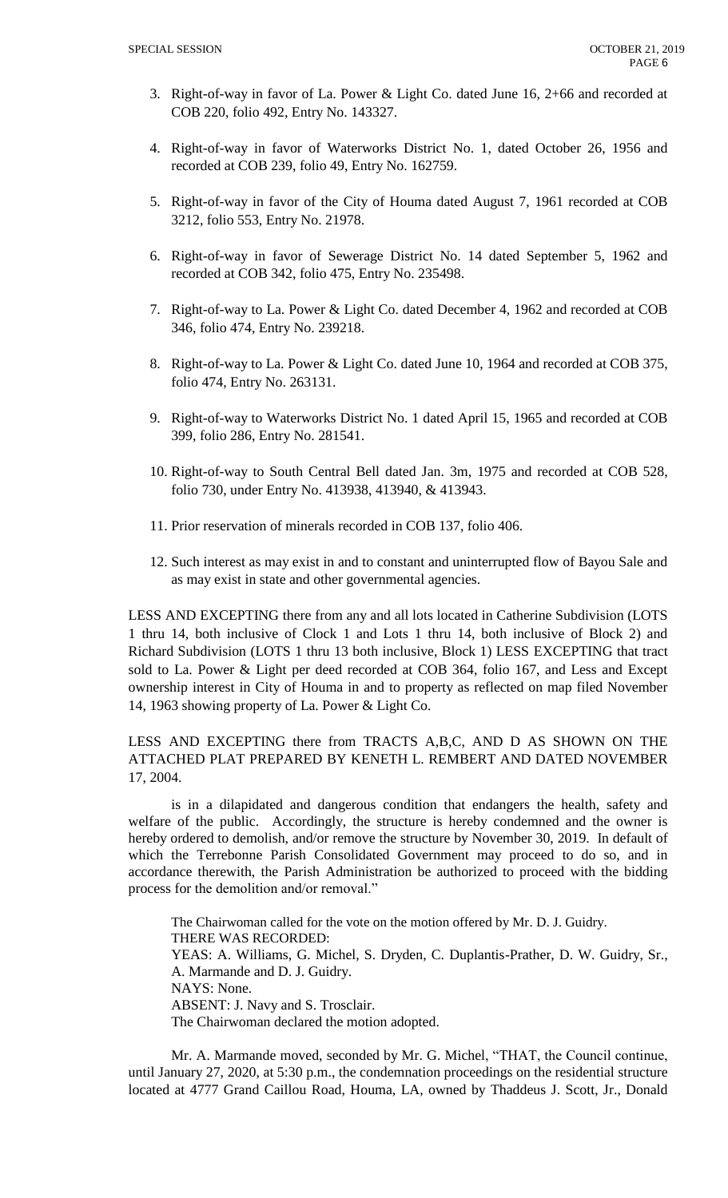- 3. Right-of-way in favor of La. Power & Light Co. dated June 16, 2+66 and recorded at COB 220, folio 492, Entry No. 143327.
- 4. Right-of-way in favor of Waterworks District No. 1, dated October 26, 1956 and recorded at COB 239, folio 49, Entry No. 162759.
- 5. Right-of-way in favor of the City of Houma dated August 7, 1961 recorded at COB 3212, folio 553, Entry No. 21978.
- 6. Right-of-way in favor of Sewerage District No. 14 dated September 5, 1962 and recorded at COB 342, folio 475, Entry No. 235498.
- 7. Right-of-way to La. Power & Light Co. dated December 4, 1962 and recorded at COB 346, folio 474, Entry No. 239218.
- 8. Right-of-way to La. Power & Light Co. dated June 10, 1964 and recorded at COB 375, folio 474, Entry No. 263131.
- 9. Right-of-way to Waterworks District No. 1 dated April 15, 1965 and recorded at COB 399, folio 286, Entry No. 281541.
- 10. Right-of-way to South Central Bell dated Jan. 3m, 1975 and recorded at COB 528, folio 730, under Entry No. 413938, 413940, & 413943.
- 11. Prior reservation of minerals recorded in COB 137, folio 406.
- 12. Such interest as may exist in and to constant and uninterrupted flow of Bayou Sale and as may exist in state and other governmental agencies.

LESS AND EXCEPTING there from any and all lots located in Catherine Subdivision (LOTS 1 thru 14, both inclusive of Clock 1 and Lots 1 thru 14, both inclusive of Block 2) and Richard Subdivision (LOTS 1 thru 13 both inclusive, Block 1) LESS EXCEPTING that tract sold to La. Power & Light per deed recorded at COB 364, folio 167, and Less and Except ownership interest in City of Houma in and to property as reflected on map filed November 14, 1963 showing property of La. Power & Light Co.

# LESS AND EXCEPTING there from TRACTS A,B,C, AND D AS SHOWN ON THE ATTACHED PLAT PREPARED BY KENETH L. REMBERT AND DATED NOVEMBER 17, 2004.

is in a dilapidated and dangerous condition that endangers the health, safety and welfare of the public. Accordingly, the structure is hereby condemned and the owner is hereby ordered to demolish, and/or remove the structure by November 30, 2019. In default of which the Terrebonne Parish Consolidated Government may proceed to do so, and in accordance therewith, the Parish Administration be authorized to proceed with the bidding process for the demolition and/or removal."

The Chairwoman called for the vote on the motion offered by Mr. D. J. Guidry. THERE WAS RECORDED: YEAS: A. Williams, G. Michel, S. Dryden, C. Duplantis-Prather, D. W. Guidry, Sr., A. Marmande and D. J. Guidry. NAYS: None. ABSENT: J. Navy and S. Trosclair. The Chairwoman declared the motion adopted.

Mr. A. Marmande moved, seconded by Mr. G. Michel, "THAT, the Council continue, until January 27, 2020, at 5:30 p.m., the condemnation proceedings on the residential structure located at 4777 Grand Caillou Road, Houma, LA, owned by Thaddeus J. Scott, Jr., Donald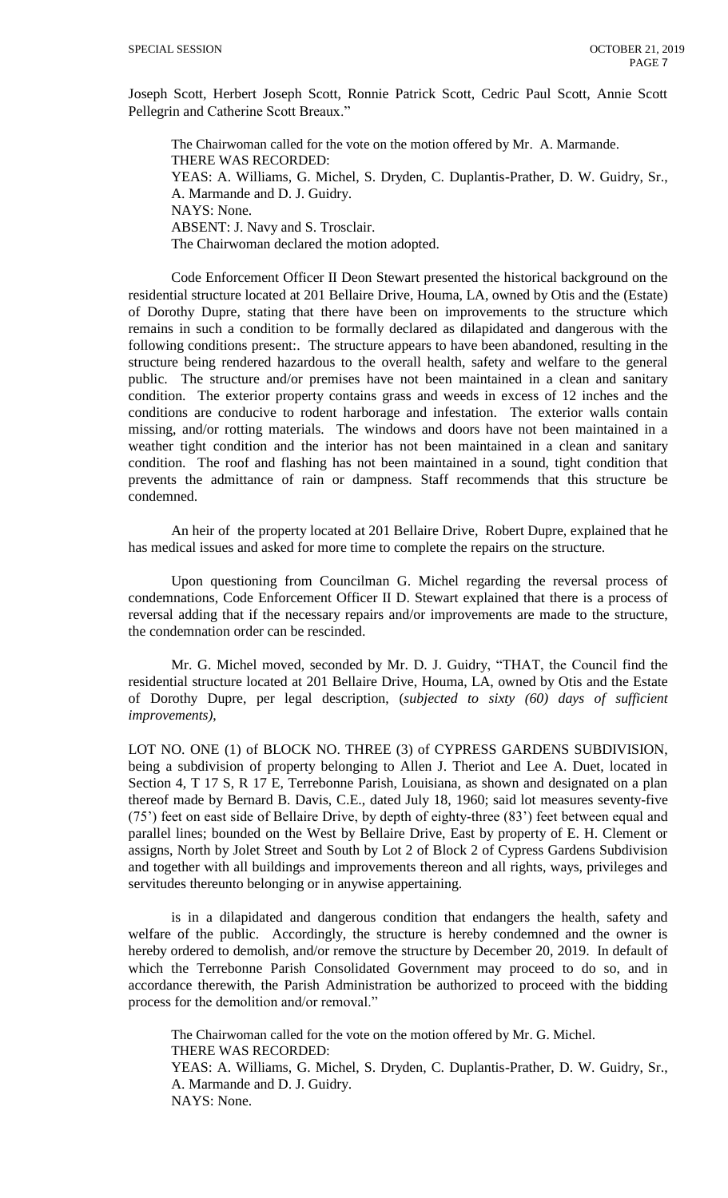Joseph Scott, Herbert Joseph Scott, Ronnie Patrick Scott, Cedric Paul Scott, Annie Scott Pellegrin and Catherine Scott Breaux."

The Chairwoman called for the vote on the motion offered by Mr. A. Marmande. THERE WAS RECORDED: YEAS: A. Williams, G. Michel, S. Dryden, C. Duplantis-Prather, D. W. Guidry, Sr., A. Marmande and D. J. Guidry. NAYS: None. ABSENT: J. Navy and S. Trosclair. The Chairwoman declared the motion adopted.

Code Enforcement Officer II Deon Stewart presented the historical background on the residential structure located at 201 Bellaire Drive, Houma, LA, owned by Otis and the (Estate) of Dorothy Dupre, stating that there have been on improvements to the structure which remains in such a condition to be formally declared as dilapidated and dangerous with the following conditions present:. The structure appears to have been abandoned, resulting in the structure being rendered hazardous to the overall health, safety and welfare to the general public. The structure and/or premises have not been maintained in a clean and sanitary condition. The exterior property contains grass and weeds in excess of 12 inches and the conditions are conducive to rodent harborage and infestation. The exterior walls contain missing, and/or rotting materials. The windows and doors have not been maintained in a weather tight condition and the interior has not been maintained in a clean and sanitary condition. The roof and flashing has not been maintained in a sound, tight condition that prevents the admittance of rain or dampness. Staff recommends that this structure be condemned.

An heir of the property located at 201 Bellaire Drive, Robert Dupre, explained that he has medical issues and asked for more time to complete the repairs on the structure.

Upon questioning from Councilman G. Michel regarding the reversal process of condemnations, Code Enforcement Officer II D. Stewart explained that there is a process of reversal adding that if the necessary repairs and/or improvements are made to the structure, the condemnation order can be rescinded.

Mr. G. Michel moved, seconded by Mr. D. J. Guidry, "THAT, the Council find the residential structure located at 201 Bellaire Drive, Houma, LA, owned by Otis and the Estate of Dorothy Dupre, per legal description, (*subjected to sixty (60) days of sufficient improvements)*,

LOT NO. ONE (1) of BLOCK NO. THREE (3) of CYPRESS GARDENS SUBDIVISION, being a subdivision of property belonging to Allen J. Theriot and Lee A. Duet, located in Section 4, T 17 S, R 17 E, Terrebonne Parish, Louisiana, as shown and designated on a plan thereof made by Bernard B. Davis, C.E., dated July 18, 1960; said lot measures seventy-five (75') feet on east side of Bellaire Drive, by depth of eighty-three (83') feet between equal and parallel lines; bounded on the West by Bellaire Drive, East by property of E. H. Clement or assigns, North by Jolet Street and South by Lot 2 of Block 2 of Cypress Gardens Subdivision and together with all buildings and improvements thereon and all rights, ways, privileges and servitudes thereunto belonging or in anywise appertaining.

is in a dilapidated and dangerous condition that endangers the health, safety and welfare of the public. Accordingly, the structure is hereby condemned and the owner is hereby ordered to demolish, and/or remove the structure by December 20, 2019. In default of which the Terrebonne Parish Consolidated Government may proceed to do so, and in accordance therewith, the Parish Administration be authorized to proceed with the bidding process for the demolition and/or removal."

The Chairwoman called for the vote on the motion offered by Mr. G. Michel. THERE WAS RECORDED: YEAS: A. Williams, G. Michel, S. Dryden, C. Duplantis-Prather, D. W. Guidry, Sr., A. Marmande and D. J. Guidry. NAYS: None.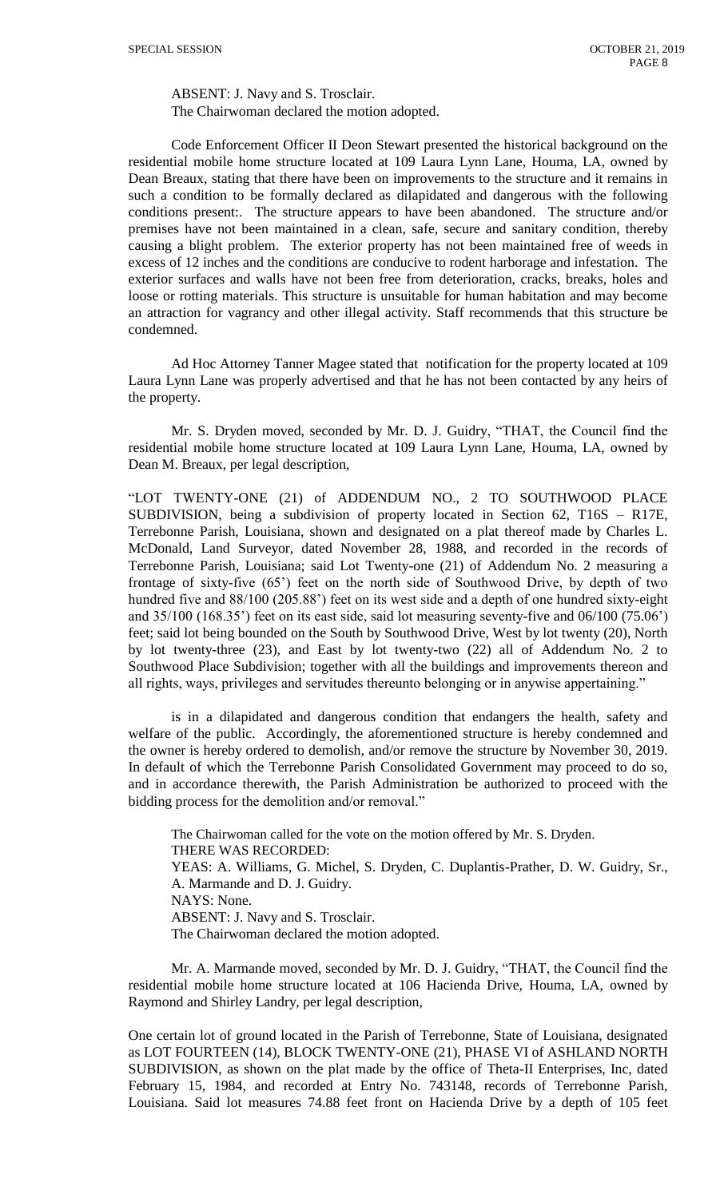ABSENT: J. Navy and S. Trosclair. The Chairwoman declared the motion adopted.

Code Enforcement Officer II Deon Stewart presented the historical background on the residential mobile home structure located at 109 Laura Lynn Lane, Houma, LA, owned by Dean Breaux, stating that there have been on improvements to the structure and it remains in such a condition to be formally declared as dilapidated and dangerous with the following conditions present:. The structure appears to have been abandoned. The structure and/or premises have not been maintained in a clean, safe, secure and sanitary condition, thereby causing a blight problem. The exterior property has not been maintained free of weeds in excess of 12 inches and the conditions are conducive to rodent harborage and infestation. The exterior surfaces and walls have not been free from deterioration, cracks, breaks, holes and loose or rotting materials. This structure is unsuitable for human habitation and may become an attraction for vagrancy and other illegal activity. Staff recommends that this structure be condemned.

Ad Hoc Attorney Tanner Magee stated that notification for the property located at 109 Laura Lynn Lane was properly advertised and that he has not been contacted by any heirs of the property.

Mr. S. Dryden moved, seconded by Mr. D. J. Guidry, "THAT, the Council find the residential mobile home structure located at 109 Laura Lynn Lane, Houma, LA, owned by Dean M. Breaux, per legal description,

"LOT TWENTY-ONE (21) of ADDENDUM NO., 2 TO SOUTHWOOD PLACE SUBDIVISION, being a subdivision of property located in Section 62, T16S – R17E, Terrebonne Parish, Louisiana, shown and designated on a plat thereof made by Charles L. McDonald, Land Surveyor, dated November 28, 1988, and recorded in the records of Terrebonne Parish, Louisiana; said Lot Twenty-one (21) of Addendum No. 2 measuring a frontage of sixty-five (65') feet on the north side of Southwood Drive, by depth of two hundred five and 88/100 (205.88') feet on its west side and a depth of one hundred sixty-eight and 35/100 (168.35') feet on its east side, said lot measuring seventy-five and 06/100 (75.06') feet; said lot being bounded on the South by Southwood Drive, West by lot twenty (20), North by lot twenty-three (23), and East by lot twenty-two (22) all of Addendum No. 2 to Southwood Place Subdivision; together with all the buildings and improvements thereon and all rights, ways, privileges and servitudes thereunto belonging or in anywise appertaining."

is in a dilapidated and dangerous condition that endangers the health, safety and welfare of the public. Accordingly, the aforementioned structure is hereby condemned and the owner is hereby ordered to demolish, and/or remove the structure by November 30, 2019. In default of which the Terrebonne Parish Consolidated Government may proceed to do so, and in accordance therewith, the Parish Administration be authorized to proceed with the bidding process for the demolition and/or removal."

The Chairwoman called for the vote on the motion offered by Mr. S. Dryden. THERE WAS RECORDED: YEAS: A. Williams, G. Michel, S. Dryden, C. Duplantis-Prather, D. W. Guidry, Sr., A. Marmande and D. J. Guidry. NAYS: None. ABSENT: J. Navy and S. Trosclair. The Chairwoman declared the motion adopted.

Mr. A. Marmande moved, seconded by Mr. D. J. Guidry, "THAT, the Council find the residential mobile home structure located at 106 Hacienda Drive, Houma, LA, owned by Raymond and Shirley Landry, per legal description,

One certain lot of ground located in the Parish of Terrebonne, State of Louisiana, designated as LOT FOURTEEN (14), BLOCK TWENTY-ONE (21), PHASE VI of ASHLAND NORTH SUBDIVISION, as shown on the plat made by the office of Theta-II Enterprises, Inc, dated February 15, 1984, and recorded at Entry No. 743148, records of Terrebonne Parish, Louisiana. Said lot measures 74.88 feet front on Hacienda Drive by a depth of 105 feet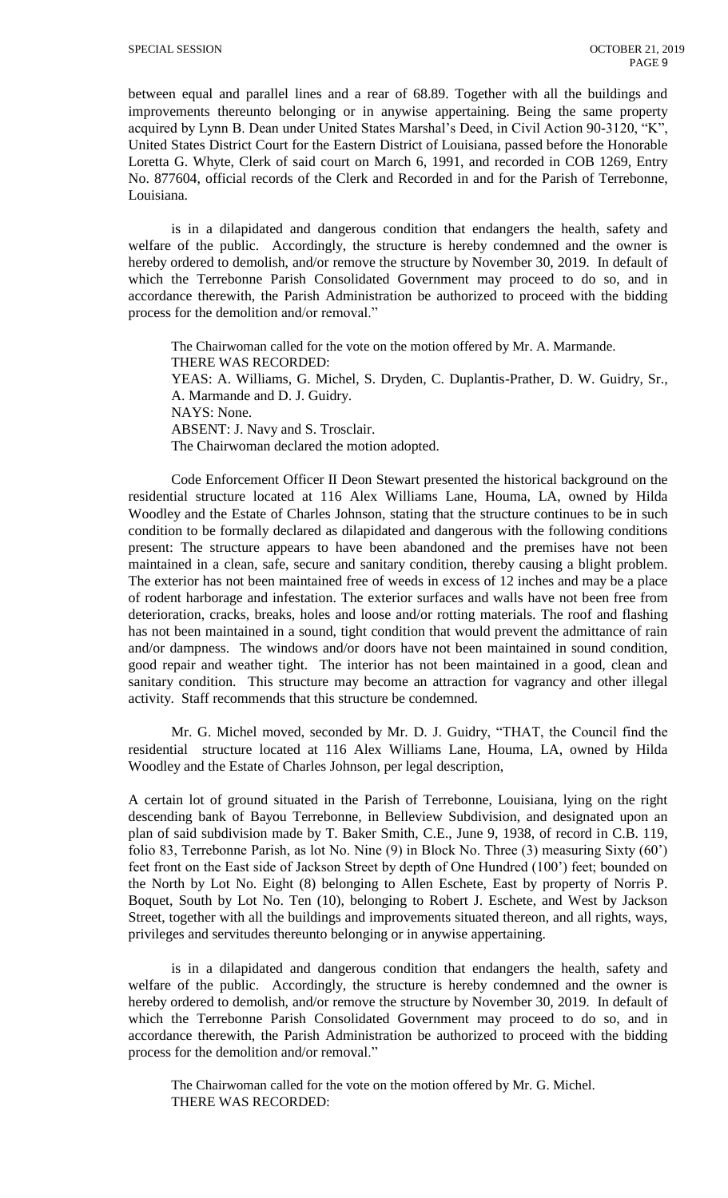between equal and parallel lines and a rear of 68.89. Together with all the buildings and improvements thereunto belonging or in anywise appertaining. Being the same property acquired by Lynn B. Dean under United States Marshal's Deed, in Civil Action 90-3120, "K", United States District Court for the Eastern District of Louisiana, passed before the Honorable Loretta G. Whyte, Clerk of said court on March 6, 1991, and recorded in COB 1269, Entry No. 877604, official records of the Clerk and Recorded in and for the Parish of Terrebonne, Louisiana.

is in a dilapidated and dangerous condition that endangers the health, safety and welfare of the public. Accordingly, the structure is hereby condemned and the owner is hereby ordered to demolish, and/or remove the structure by November 30, 2019. In default of which the Terrebonne Parish Consolidated Government may proceed to do so, and in accordance therewith, the Parish Administration be authorized to proceed with the bidding process for the demolition and/or removal."

The Chairwoman called for the vote on the motion offered by Mr. A. Marmande. THERE WAS RECORDED: YEAS: A. Williams, G. Michel, S. Dryden, C. Duplantis-Prather, D. W. Guidry, Sr., A. Marmande and D. J. Guidry. NAYS: None. ABSENT: J. Navy and S. Trosclair. The Chairwoman declared the motion adopted.

Code Enforcement Officer II Deon Stewart presented the historical background on the residential structure located at 116 Alex Williams Lane, Houma, LA, owned by Hilda Woodley and the Estate of Charles Johnson, stating that the structure continues to be in such condition to be formally declared as dilapidated and dangerous with the following conditions present: The structure appears to have been abandoned and the premises have not been maintained in a clean, safe, secure and sanitary condition, thereby causing a blight problem. The exterior has not been maintained free of weeds in excess of 12 inches and may be a place of rodent harborage and infestation. The exterior surfaces and walls have not been free from deterioration, cracks, breaks, holes and loose and/or rotting materials. The roof and flashing has not been maintained in a sound, tight condition that would prevent the admittance of rain and/or dampness. The windows and/or doors have not been maintained in sound condition, good repair and weather tight. The interior has not been maintained in a good, clean and sanitary condition. This structure may become an attraction for vagrancy and other illegal activity. Staff recommends that this structure be condemned.

Mr. G. Michel moved, seconded by Mr. D. J. Guidry, "THAT, the Council find the residential structure located at 116 Alex Williams Lane, Houma, LA, owned by Hilda Woodley and the Estate of Charles Johnson, per legal description,

A certain lot of ground situated in the Parish of Terrebonne, Louisiana, lying on the right descending bank of Bayou Terrebonne, in Belleview Subdivision, and designated upon an plan of said subdivision made by T. Baker Smith, C.E., June 9, 1938, of record in C.B. 119, folio 83, Terrebonne Parish, as lot No. Nine (9) in Block No. Three (3) measuring Sixty (60') feet front on the East side of Jackson Street by depth of One Hundred (100') feet; bounded on the North by Lot No. Eight (8) belonging to Allen Eschete, East by property of Norris P. Boquet, South by Lot No. Ten (10), belonging to Robert J. Eschete, and West by Jackson Street, together with all the buildings and improvements situated thereon, and all rights, ways, privileges and servitudes thereunto belonging or in anywise appertaining.

is in a dilapidated and dangerous condition that endangers the health, safety and welfare of the public. Accordingly, the structure is hereby condemned and the owner is hereby ordered to demolish, and/or remove the structure by November 30, 2019. In default of which the Terrebonne Parish Consolidated Government may proceed to do so, and in accordance therewith, the Parish Administration be authorized to proceed with the bidding process for the demolition and/or removal."

The Chairwoman called for the vote on the motion offered by Mr. G. Michel. THERE WAS RECORDED: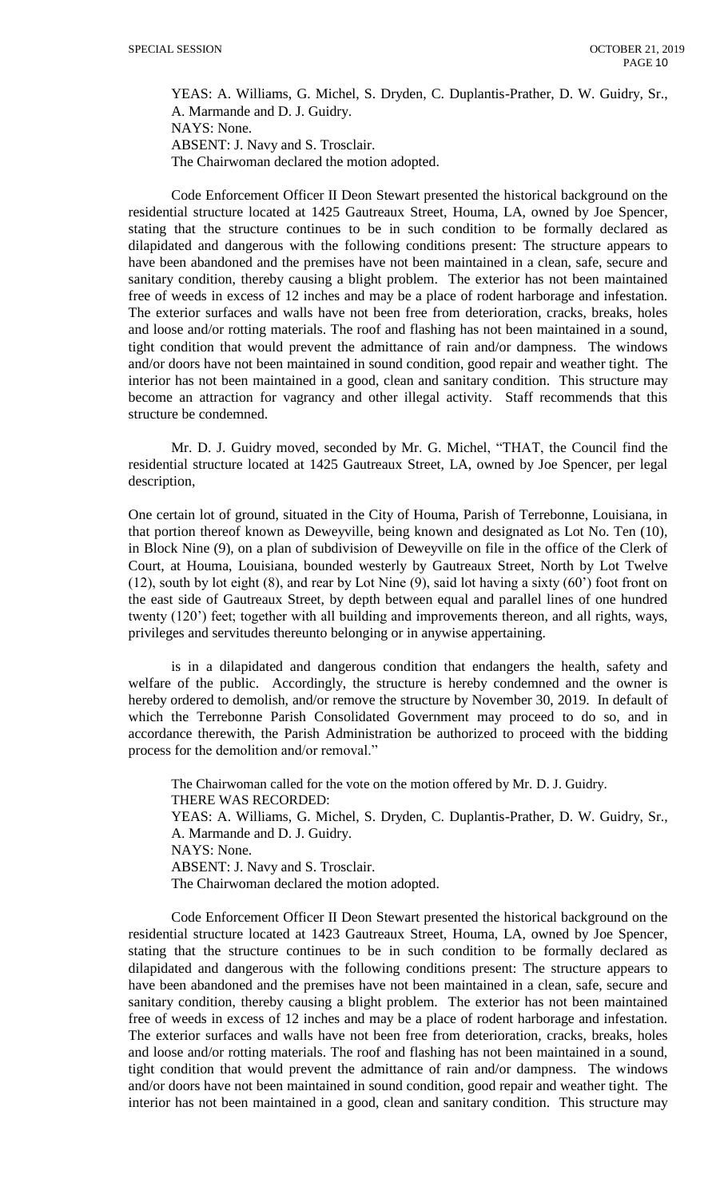YEAS: A. Williams, G. Michel, S. Dryden, C. Duplantis-Prather, D. W. Guidry, Sr., A. Marmande and D. J. Guidry. NAYS: None. ABSENT: J. Navy and S. Trosclair.

The Chairwoman declared the motion adopted.

Code Enforcement Officer II Deon Stewart presented the historical background on the residential structure located at 1425 Gautreaux Street, Houma, LA, owned by Joe Spencer, stating that the structure continues to be in such condition to be formally declared as dilapidated and dangerous with the following conditions present: The structure appears to have been abandoned and the premises have not been maintained in a clean, safe, secure and sanitary condition, thereby causing a blight problem. The exterior has not been maintained free of weeds in excess of 12 inches and may be a place of rodent harborage and infestation. The exterior surfaces and walls have not been free from deterioration, cracks, breaks, holes and loose and/or rotting materials. The roof and flashing has not been maintained in a sound, tight condition that would prevent the admittance of rain and/or dampness. The windows and/or doors have not been maintained in sound condition, good repair and weather tight. The interior has not been maintained in a good, clean and sanitary condition. This structure may become an attraction for vagrancy and other illegal activity. Staff recommends that this structure be condemned.

Mr. D. J. Guidry moved, seconded by Mr. G. Michel, "THAT, the Council find the residential structure located at 1425 Gautreaux Street, LA, owned by Joe Spencer, per legal description,

One certain lot of ground, situated in the City of Houma, Parish of Terrebonne, Louisiana, in that portion thereof known as Deweyville, being known and designated as Lot No. Ten (10), in Block Nine (9), on a plan of subdivision of Deweyville on file in the office of the Clerk of Court, at Houma, Louisiana, bounded westerly by Gautreaux Street, North by Lot Twelve (12), south by lot eight (8), and rear by Lot Nine (9), said lot having a sixty (60') foot front on the east side of Gautreaux Street, by depth between equal and parallel lines of one hundred twenty (120') feet; together with all building and improvements thereon, and all rights, ways, privileges and servitudes thereunto belonging or in anywise appertaining.

is in a dilapidated and dangerous condition that endangers the health, safety and welfare of the public. Accordingly, the structure is hereby condemned and the owner is hereby ordered to demolish, and/or remove the structure by November 30, 2019. In default of which the Terrebonne Parish Consolidated Government may proceed to do so, and in accordance therewith, the Parish Administration be authorized to proceed with the bidding process for the demolition and/or removal."

The Chairwoman called for the vote on the motion offered by Mr. D. J. Guidry. THERE WAS RECORDED: YEAS: A. Williams, G. Michel, S. Dryden, C. Duplantis-Prather, D. W. Guidry, Sr., A. Marmande and D. J. Guidry. NAYS: None. ABSENT: J. Navy and S. Trosclair. The Chairwoman declared the motion adopted.

Code Enforcement Officer II Deon Stewart presented the historical background on the residential structure located at 1423 Gautreaux Street, Houma, LA, owned by Joe Spencer, stating that the structure continues to be in such condition to be formally declared as dilapidated and dangerous with the following conditions present: The structure appears to have been abandoned and the premises have not been maintained in a clean, safe, secure and sanitary condition, thereby causing a blight problem. The exterior has not been maintained free of weeds in excess of 12 inches and may be a place of rodent harborage and infestation. The exterior surfaces and walls have not been free from deterioration, cracks, breaks, holes and loose and/or rotting materials. The roof and flashing has not been maintained in a sound, tight condition that would prevent the admittance of rain and/or dampness. The windows and/or doors have not been maintained in sound condition, good repair and weather tight. The interior has not been maintained in a good, clean and sanitary condition. This structure may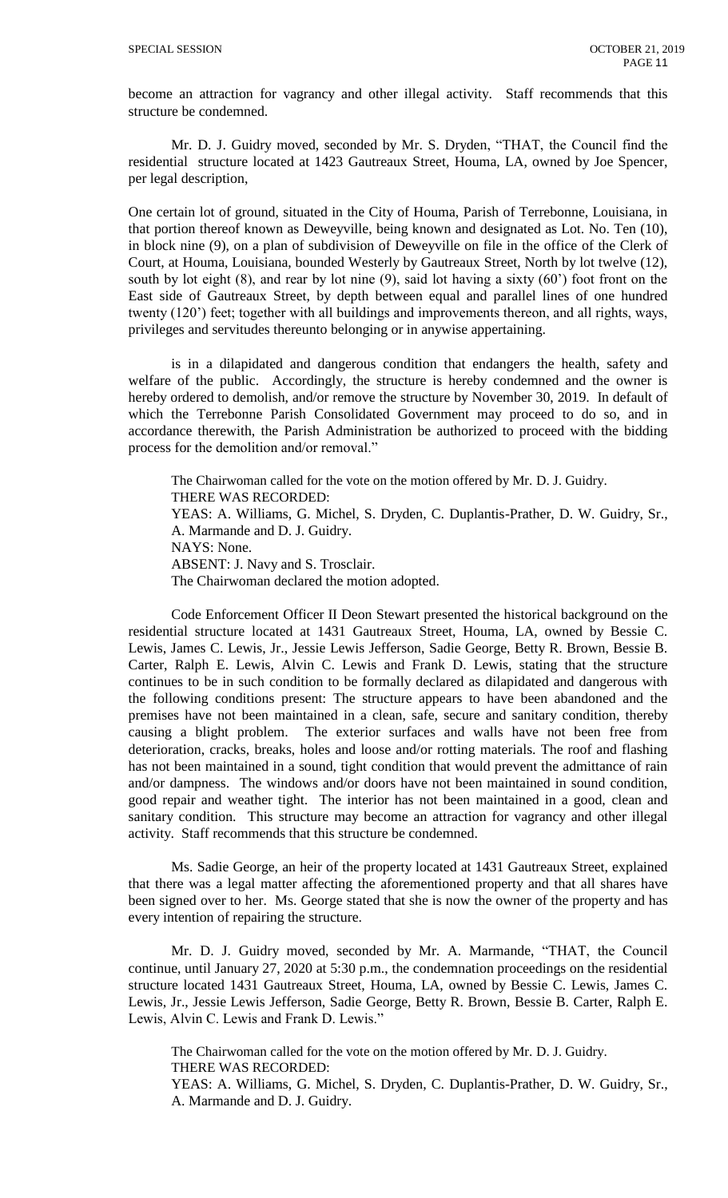become an attraction for vagrancy and other illegal activity. Staff recommends that this structure be condemned.

Mr. D. J. Guidry moved, seconded by Mr. S. Dryden, "THAT, the Council find the residential structure located at 1423 Gautreaux Street, Houma, LA, owned by Joe Spencer, per legal description,

One certain lot of ground, situated in the City of Houma, Parish of Terrebonne, Louisiana, in that portion thereof known as Deweyville, being known and designated as Lot. No. Ten (10), in block nine (9), on a plan of subdivision of Deweyville on file in the office of the Clerk of Court, at Houma, Louisiana, bounded Westerly by Gautreaux Street, North by lot twelve (12), south by lot eight (8), and rear by lot nine (9), said lot having a sixty (60') foot front on the East side of Gautreaux Street, by depth between equal and parallel lines of one hundred twenty (120') feet; together with all buildings and improvements thereon, and all rights, ways, privileges and servitudes thereunto belonging or in anywise appertaining.

is in a dilapidated and dangerous condition that endangers the health, safety and welfare of the public. Accordingly, the structure is hereby condemned and the owner is hereby ordered to demolish, and/or remove the structure by November 30, 2019. In default of which the Terrebonne Parish Consolidated Government may proceed to do so, and in accordance therewith, the Parish Administration be authorized to proceed with the bidding process for the demolition and/or removal."

The Chairwoman called for the vote on the motion offered by Mr. D. J. Guidry. THERE WAS RECORDED: YEAS: A. Williams, G. Michel, S. Dryden, C. Duplantis-Prather, D. W. Guidry, Sr., A. Marmande and D. J. Guidry. NAYS: None. ABSENT: J. Navy and S. Trosclair. The Chairwoman declared the motion adopted.

Code Enforcement Officer II Deon Stewart presented the historical background on the residential structure located at 1431 Gautreaux Street, Houma, LA, owned by Bessie C. Lewis, James C. Lewis, Jr., Jessie Lewis Jefferson, Sadie George, Betty R. Brown, Bessie B. Carter, Ralph E. Lewis, Alvin C. Lewis and Frank D. Lewis, stating that the structure continues to be in such condition to be formally declared as dilapidated and dangerous with the following conditions present: The structure appears to have been abandoned and the premises have not been maintained in a clean, safe, secure and sanitary condition, thereby causing a blight problem. The exterior surfaces and walls have not been free from deterioration, cracks, breaks, holes and loose and/or rotting materials. The roof and flashing has not been maintained in a sound, tight condition that would prevent the admittance of rain and/or dampness. The windows and/or doors have not been maintained in sound condition, good repair and weather tight. The interior has not been maintained in a good, clean and sanitary condition. This structure may become an attraction for vagrancy and other illegal activity. Staff recommends that this structure be condemned.

Ms. Sadie George, an heir of the property located at 1431 Gautreaux Street, explained that there was a legal matter affecting the aforementioned property and that all shares have been signed over to her. Ms. George stated that she is now the owner of the property and has every intention of repairing the structure.

Mr. D. J. Guidry moved, seconded by Mr. A. Marmande, "THAT, the Council continue, until January 27, 2020 at 5:30 p.m., the condemnation proceedings on the residential structure located 1431 Gautreaux Street, Houma, LA, owned by Bessie C. Lewis, James C. Lewis, Jr., Jessie Lewis Jefferson, Sadie George, Betty R. Brown, Bessie B. Carter, Ralph E. Lewis, Alvin C. Lewis and Frank D. Lewis."

The Chairwoman called for the vote on the motion offered by Mr. D. J. Guidry. THERE WAS RECORDED:

YEAS: A. Williams, G. Michel, S. Dryden, C. Duplantis-Prather, D. W. Guidry, Sr., A. Marmande and D. J. Guidry.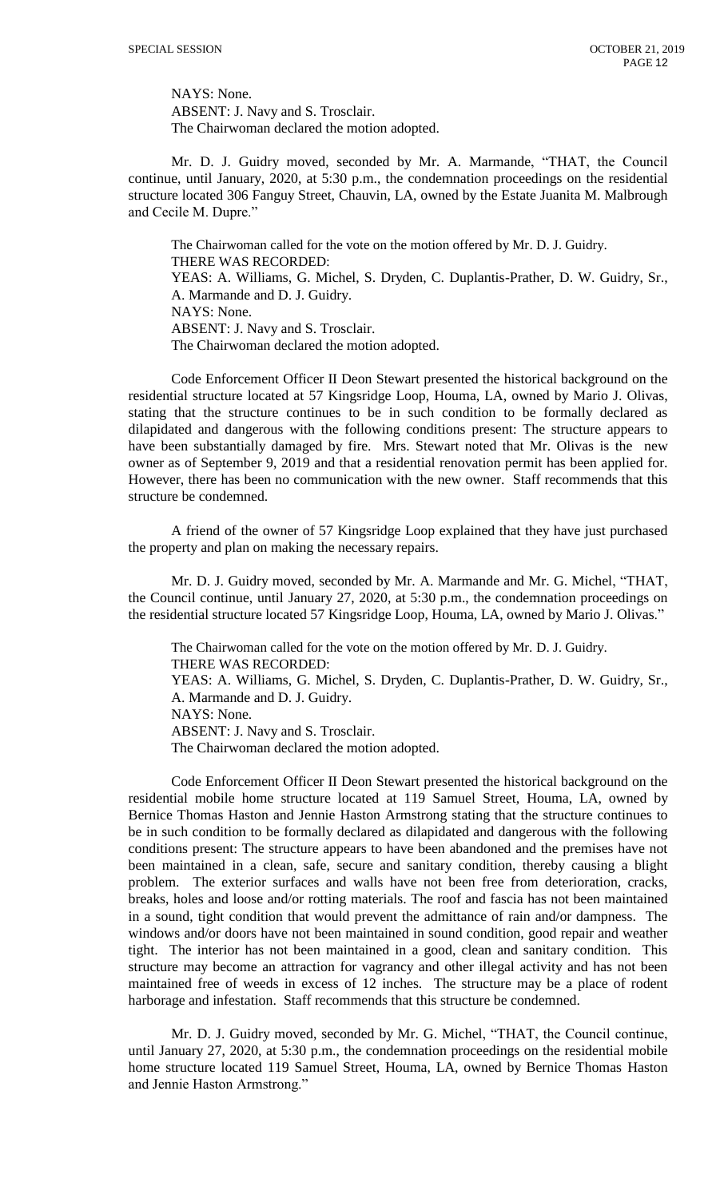NAYS: None. ABSENT: J. Navy and S. Trosclair. The Chairwoman declared the motion adopted.

Mr. D. J. Guidry moved, seconded by Mr. A. Marmande, "THAT, the Council continue, until January, 2020, at 5:30 p.m., the condemnation proceedings on the residential structure located 306 Fanguy Street, Chauvin, LA, owned by the Estate Juanita M. Malbrough and Cecile M. Dupre."

The Chairwoman called for the vote on the motion offered by Mr. D. J. Guidry. THERE WAS RECORDED: YEAS: A. Williams, G. Michel, S. Dryden, C. Duplantis-Prather, D. W. Guidry, Sr., A. Marmande and D. J. Guidry. NAYS: None. ABSENT: J. Navy and S. Trosclair. The Chairwoman declared the motion adopted.

Code Enforcement Officer II Deon Stewart presented the historical background on the residential structure located at 57 Kingsridge Loop, Houma, LA, owned by Mario J. Olivas, stating that the structure continues to be in such condition to be formally declared as dilapidated and dangerous with the following conditions present: The structure appears to have been substantially damaged by fire. Mrs. Stewart noted that Mr. Olivas is the new owner as of September 9, 2019 and that a residential renovation permit has been applied for. However, there has been no communication with the new owner. Staff recommends that this structure be condemned.

A friend of the owner of 57 Kingsridge Loop explained that they have just purchased the property and plan on making the necessary repairs.

Mr. D. J. Guidry moved, seconded by Mr. A. Marmande and Mr. G. Michel, "THAT, the Council continue, until January 27, 2020, at 5:30 p.m., the condemnation proceedings on the residential structure located 57 Kingsridge Loop, Houma, LA, owned by Mario J. Olivas."

The Chairwoman called for the vote on the motion offered by Mr. D. J. Guidry. THERE WAS RECORDED: YEAS: A. Williams, G. Michel, S. Dryden, C. Duplantis-Prather, D. W. Guidry, Sr., A. Marmande and D. J. Guidry. NAYS: None. ABSENT: J. Navy and S. Trosclair. The Chairwoman declared the motion adopted.

Code Enforcement Officer II Deon Stewart presented the historical background on the residential mobile home structure located at 119 Samuel Street, Houma, LA, owned by Bernice Thomas Haston and Jennie Haston Armstrong stating that the structure continues to be in such condition to be formally declared as dilapidated and dangerous with the following conditions present: The structure appears to have been abandoned and the premises have not been maintained in a clean, safe, secure and sanitary condition, thereby causing a blight problem. The exterior surfaces and walls have not been free from deterioration, cracks, breaks, holes and loose and/or rotting materials. The roof and fascia has not been maintained in a sound, tight condition that would prevent the admittance of rain and/or dampness. The windows and/or doors have not been maintained in sound condition, good repair and weather tight. The interior has not been maintained in a good, clean and sanitary condition. This structure may become an attraction for vagrancy and other illegal activity and has not been maintained free of weeds in excess of 12 inches. The structure may be a place of rodent harborage and infestation. Staff recommends that this structure be condemned.

Mr. D. J. Guidry moved, seconded by Mr. G. Michel, "THAT, the Council continue, until January 27, 2020, at 5:30 p.m., the condemnation proceedings on the residential mobile home structure located 119 Samuel Street, Houma, LA, owned by Bernice Thomas Haston and Jennie Haston Armstrong."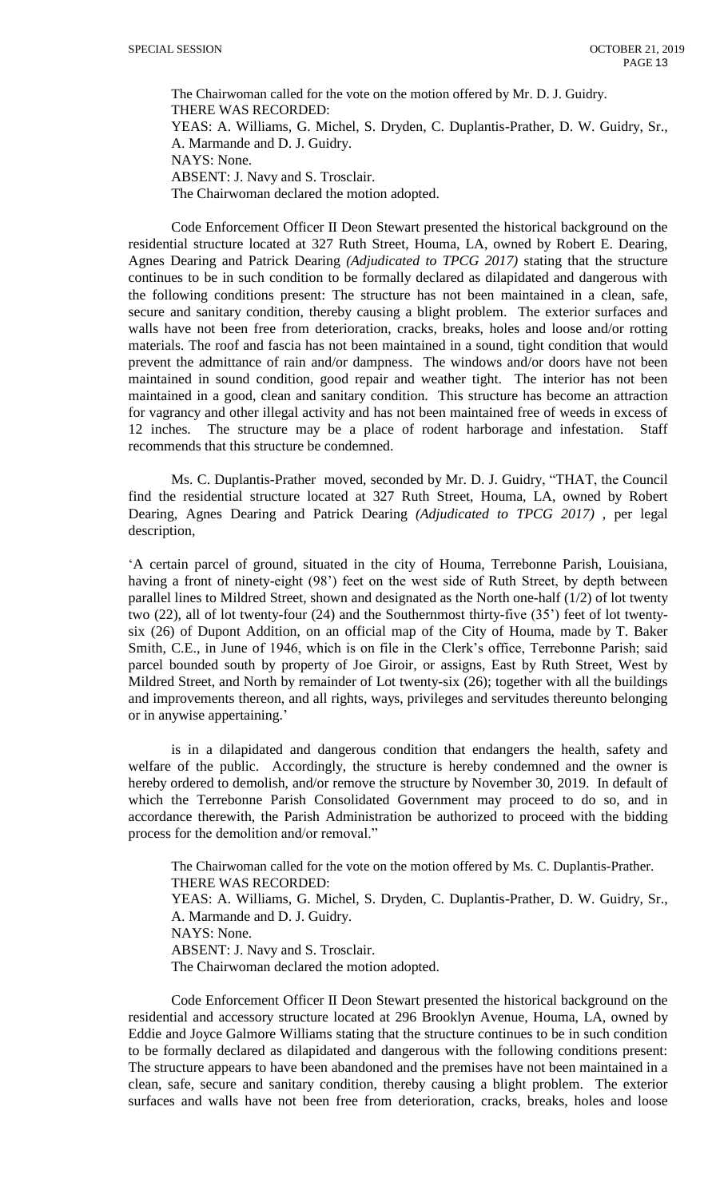The Chairwoman called for the vote on the motion offered by Mr. D. J. Guidry. THERE WAS RECORDED: YEAS: A. Williams, G. Michel, S. Dryden, C. Duplantis-Prather, D. W. Guidry, Sr., A. Marmande and D. J. Guidry. NAYS: None. ABSENT: J. Navy and S. Trosclair. The Chairwoman declared the motion adopted.

Code Enforcement Officer II Deon Stewart presented the historical background on the residential structure located at 327 Ruth Street, Houma, LA, owned by Robert E. Dearing, Agnes Dearing and Patrick Dearing *(Adjudicated to TPCG 2017)* stating that the structure continues to be in such condition to be formally declared as dilapidated and dangerous with the following conditions present: The structure has not been maintained in a clean, safe, secure and sanitary condition, thereby causing a blight problem. The exterior surfaces and walls have not been free from deterioration, cracks, breaks, holes and loose and/or rotting materials. The roof and fascia has not been maintained in a sound, tight condition that would prevent the admittance of rain and/or dampness. The windows and/or doors have not been maintained in sound condition, good repair and weather tight. The interior has not been maintained in a good, clean and sanitary condition. This structure has become an attraction for vagrancy and other illegal activity and has not been maintained free of weeds in excess of 12 inches. The structure may be a place of rodent harborage and infestation. Staff recommends that this structure be condemned.

Ms. C. Duplantis-Prather moved, seconded by Mr. D. J. Guidry, "THAT, the Council find the residential structure located at 327 Ruth Street, Houma, LA, owned by Robert Dearing, Agnes Dearing and Patrick Dearing *(Adjudicated to TPCG 2017)* , per legal description,

'A certain parcel of ground, situated in the city of Houma, Terrebonne Parish, Louisiana, having a front of ninety-eight (98') feet on the west side of Ruth Street, by depth between parallel lines to Mildred Street, shown and designated as the North one-half (1/2) of lot twenty two (22), all of lot twenty-four (24) and the Southernmost thirty-five (35') feet of lot twentysix (26) of Dupont Addition, on an official map of the City of Houma, made by T. Baker Smith, C.E., in June of 1946, which is on file in the Clerk's office, Terrebonne Parish; said parcel bounded south by property of Joe Giroir, or assigns, East by Ruth Street, West by Mildred Street, and North by remainder of Lot twenty-six (26); together with all the buildings and improvements thereon, and all rights, ways, privileges and servitudes thereunto belonging or in anywise appertaining.'

is in a dilapidated and dangerous condition that endangers the health, safety and welfare of the public. Accordingly, the structure is hereby condemned and the owner is hereby ordered to demolish, and/or remove the structure by November 30, 2019. In default of which the Terrebonne Parish Consolidated Government may proceed to do so, and in accordance therewith, the Parish Administration be authorized to proceed with the bidding process for the demolition and/or removal."

The Chairwoman called for the vote on the motion offered by Ms. C. Duplantis-Prather. THERE WAS RECORDED:

YEAS: A. Williams, G. Michel, S. Dryden, C. Duplantis-Prather, D. W. Guidry, Sr., A. Marmande and D. J. Guidry.

NAYS: None.

ABSENT: J. Navy and S. Trosclair.

The Chairwoman declared the motion adopted.

Code Enforcement Officer II Deon Stewart presented the historical background on the residential and accessory structure located at 296 Brooklyn Avenue, Houma, LA, owned by Eddie and Joyce Galmore Williams stating that the structure continues to be in such condition to be formally declared as dilapidated and dangerous with the following conditions present: The structure appears to have been abandoned and the premises have not been maintained in a clean, safe, secure and sanitary condition, thereby causing a blight problem. The exterior surfaces and walls have not been free from deterioration, cracks, breaks, holes and loose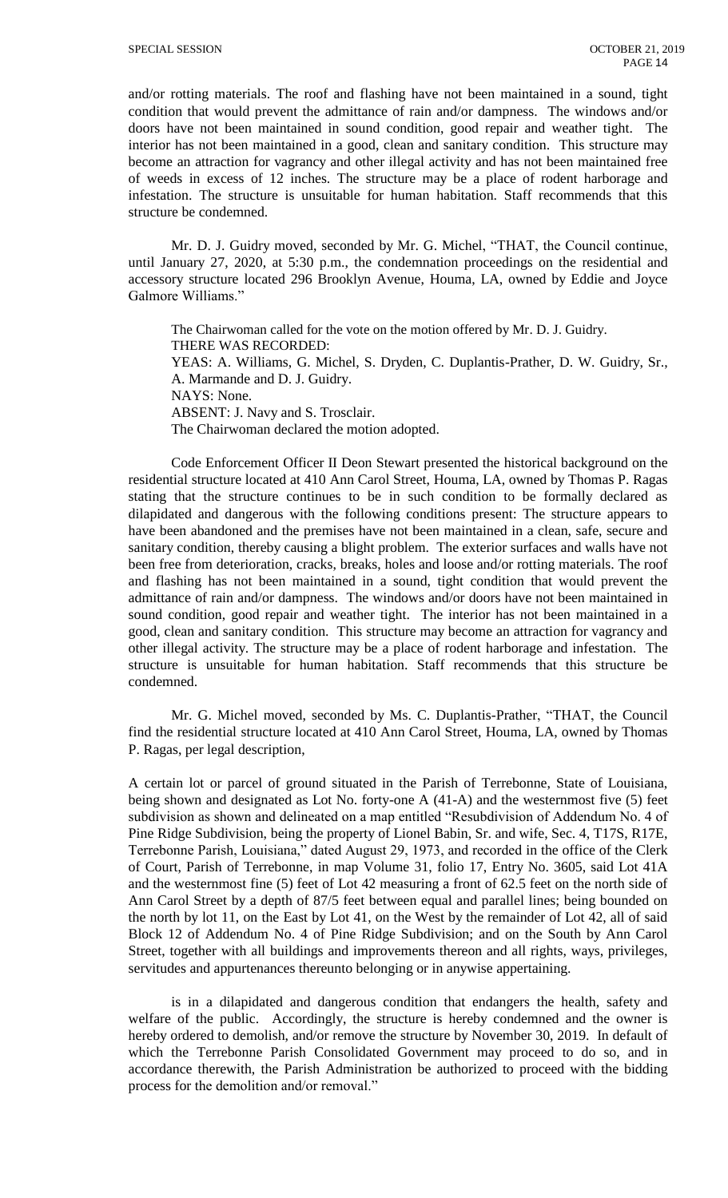and/or rotting materials. The roof and flashing have not been maintained in a sound, tight condition that would prevent the admittance of rain and/or dampness. The windows and/or doors have not been maintained in sound condition, good repair and weather tight. The interior has not been maintained in a good, clean and sanitary condition. This structure may become an attraction for vagrancy and other illegal activity and has not been maintained free of weeds in excess of 12 inches. The structure may be a place of rodent harborage and infestation. The structure is unsuitable for human habitation. Staff recommends that this structure be condemned.

Mr. D. J. Guidry moved, seconded by Mr. G. Michel, "THAT, the Council continue, until January 27, 2020, at 5:30 p.m., the condemnation proceedings on the residential and accessory structure located 296 Brooklyn Avenue, Houma, LA, owned by Eddie and Joyce Galmore Williams."

The Chairwoman called for the vote on the motion offered by Mr. D. J. Guidry. THERE WAS RECORDED: YEAS: A. Williams, G. Michel, S. Dryden, C. Duplantis-Prather, D. W. Guidry, Sr., A. Marmande and D. J. Guidry. NAYS: None. ABSENT: J. Navy and S. Trosclair. The Chairwoman declared the motion adopted.

Code Enforcement Officer II Deon Stewart presented the historical background on the residential structure located at 410 Ann Carol Street, Houma, LA, owned by Thomas P. Ragas stating that the structure continues to be in such condition to be formally declared as dilapidated and dangerous with the following conditions present: The structure appears to have been abandoned and the premises have not been maintained in a clean, safe, secure and sanitary condition, thereby causing a blight problem. The exterior surfaces and walls have not been free from deterioration, cracks, breaks, holes and loose and/or rotting materials. The roof and flashing has not been maintained in a sound, tight condition that would prevent the admittance of rain and/or dampness. The windows and/or doors have not been maintained in sound condition, good repair and weather tight. The interior has not been maintained in a good, clean and sanitary condition. This structure may become an attraction for vagrancy and other illegal activity. The structure may be a place of rodent harborage and infestation. The structure is unsuitable for human habitation. Staff recommends that this structure be condemned.

Mr. G. Michel moved, seconded by Ms. C. Duplantis-Prather, "THAT, the Council find the residential structure located at 410 Ann Carol Street, Houma, LA, owned by Thomas P. Ragas, per legal description,

A certain lot or parcel of ground situated in the Parish of Terrebonne, State of Louisiana, being shown and designated as Lot No. forty-one A (41-A) and the westernmost five (5) feet subdivision as shown and delineated on a map entitled "Resubdivision of Addendum No. 4 of Pine Ridge Subdivision, being the property of Lionel Babin, Sr. and wife, Sec. 4, T17S, R17E, Terrebonne Parish, Louisiana," dated August 29, 1973, and recorded in the office of the Clerk of Court, Parish of Terrebonne, in map Volume 31, folio 17, Entry No. 3605, said Lot 41A and the westernmost fine (5) feet of Lot 42 measuring a front of 62.5 feet on the north side of Ann Carol Street by a depth of 87/5 feet between equal and parallel lines; being bounded on the north by lot 11, on the East by Lot 41, on the West by the remainder of Lot 42, all of said Block 12 of Addendum No. 4 of Pine Ridge Subdivision; and on the South by Ann Carol Street, together with all buildings and improvements thereon and all rights, ways, privileges, servitudes and appurtenances thereunto belonging or in anywise appertaining.

is in a dilapidated and dangerous condition that endangers the health, safety and welfare of the public. Accordingly, the structure is hereby condemned and the owner is hereby ordered to demolish, and/or remove the structure by November 30, 2019. In default of which the Terrebonne Parish Consolidated Government may proceed to do so, and in accordance therewith, the Parish Administration be authorized to proceed with the bidding process for the demolition and/or removal."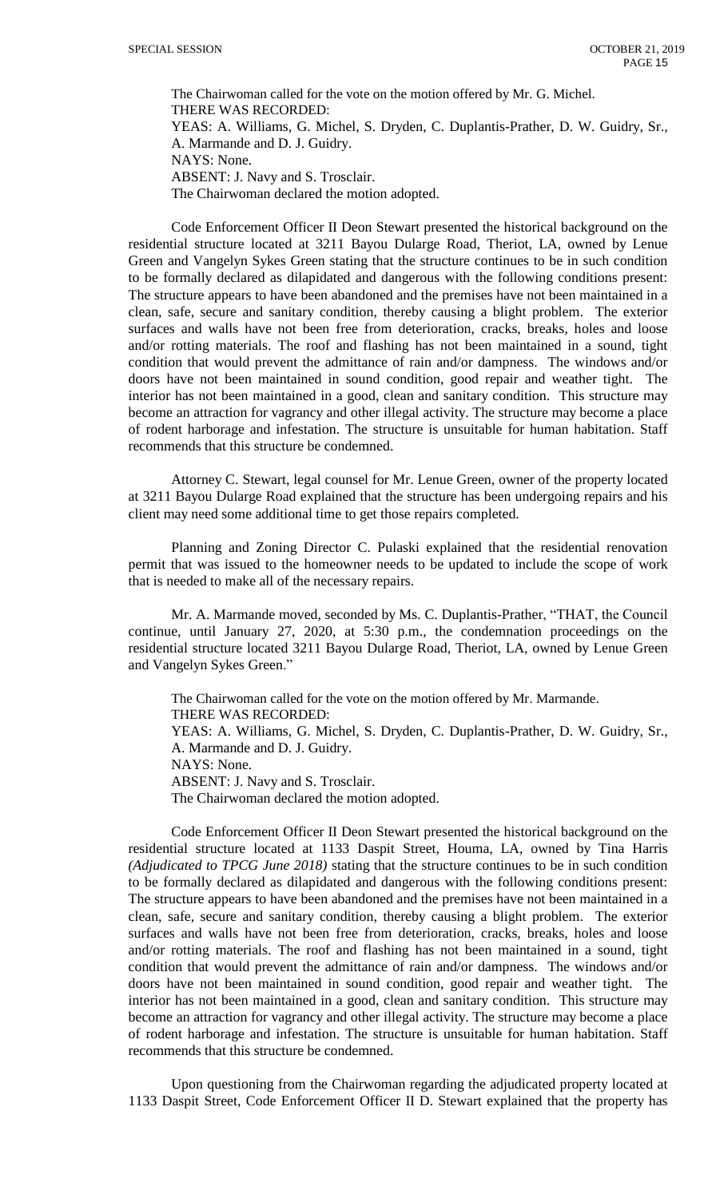The Chairwoman called for the vote on the motion offered by Mr. G. Michel. THERE WAS RECORDED: YEAS: A. Williams, G. Michel, S. Dryden, C. Duplantis-Prather, D. W. Guidry, Sr., A. Marmande and D. J. Guidry. NAYS: None. ABSENT: J. Navy and S. Trosclair. The Chairwoman declared the motion adopted.

Code Enforcement Officer II Deon Stewart presented the historical background on the residential structure located at 3211 Bayou Dularge Road, Theriot, LA, owned by Lenue Green and Vangelyn Sykes Green stating that the structure continues to be in such condition to be formally declared as dilapidated and dangerous with the following conditions present: The structure appears to have been abandoned and the premises have not been maintained in a clean, safe, secure and sanitary condition, thereby causing a blight problem. The exterior surfaces and walls have not been free from deterioration, cracks, breaks, holes and loose and/or rotting materials. The roof and flashing has not been maintained in a sound, tight condition that would prevent the admittance of rain and/or dampness. The windows and/or doors have not been maintained in sound condition, good repair and weather tight. The interior has not been maintained in a good, clean and sanitary condition. This structure may become an attraction for vagrancy and other illegal activity. The structure may become a place of rodent harborage and infestation. The structure is unsuitable for human habitation. Staff recommends that this structure be condemned.

Attorney C. Stewart, legal counsel for Mr. Lenue Green, owner of the property located at 3211 Bayou Dularge Road explained that the structure has been undergoing repairs and his client may need some additional time to get those repairs completed.

Planning and Zoning Director C. Pulaski explained that the residential renovation permit that was issued to the homeowner needs to be updated to include the scope of work that is needed to make all of the necessary repairs.

Mr. A. Marmande moved, seconded by Ms. C. Duplantis-Prather, "THAT, the Council continue, until January 27, 2020, at 5:30 p.m., the condemnation proceedings on the residential structure located 3211 Bayou Dularge Road, Theriot, LA, owned by Lenue Green and Vangelyn Sykes Green."

The Chairwoman called for the vote on the motion offered by Mr. Marmande. THERE WAS RECORDED: YEAS: A. Williams, G. Michel, S. Dryden, C. Duplantis-Prather, D. W. Guidry, Sr., A. Marmande and D. J. Guidry. NAYS: None. ABSENT: J. Navy and S. Trosclair. The Chairwoman declared the motion adopted.

Code Enforcement Officer II Deon Stewart presented the historical background on the residential structure located at 1133 Daspit Street, Houma, LA, owned by Tina Harris *(Adjudicated to TPCG June 2018)* stating that the structure continues to be in such condition to be formally declared as dilapidated and dangerous with the following conditions present: The structure appears to have been abandoned and the premises have not been maintained in a clean, safe, secure and sanitary condition, thereby causing a blight problem. The exterior surfaces and walls have not been free from deterioration, cracks, breaks, holes and loose and/or rotting materials. The roof and flashing has not been maintained in a sound, tight condition that would prevent the admittance of rain and/or dampness. The windows and/or doors have not been maintained in sound condition, good repair and weather tight. The interior has not been maintained in a good, clean and sanitary condition. This structure may become an attraction for vagrancy and other illegal activity. The structure may become a place of rodent harborage and infestation. The structure is unsuitable for human habitation. Staff recommends that this structure be condemned.

Upon questioning from the Chairwoman regarding the adjudicated property located at 1133 Daspit Street, Code Enforcement Officer II D. Stewart explained that the property has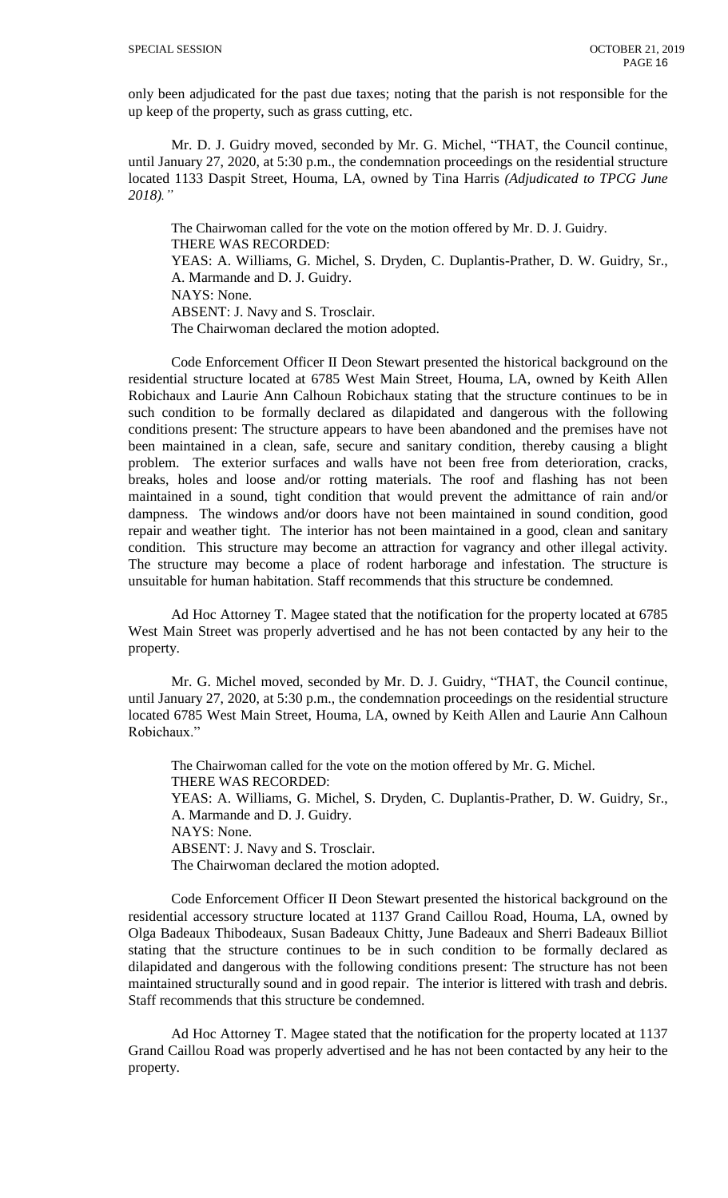only been adjudicated for the past due taxes; noting that the parish is not responsible for the up keep of the property, such as grass cutting, etc.

Mr. D. J. Guidry moved, seconded by Mr. G. Michel, "THAT, the Council continue, until January 27, 2020, at 5:30 p.m., the condemnation proceedings on the residential structure located 1133 Daspit Street, Houma, LA, owned by Tina Harris *(Adjudicated to TPCG June 2018)."*

The Chairwoman called for the vote on the motion offered by Mr. D. J. Guidry. THERE WAS RECORDED: YEAS: A. Williams, G. Michel, S. Dryden, C. Duplantis-Prather, D. W. Guidry, Sr., A. Marmande and D. J. Guidry. NAYS: None. ABSENT: J. Navy and S. Trosclair. The Chairwoman declared the motion adopted.

Code Enforcement Officer II Deon Stewart presented the historical background on the residential structure located at 6785 West Main Street, Houma, LA, owned by Keith Allen Robichaux and Laurie Ann Calhoun Robichaux stating that the structure continues to be in such condition to be formally declared as dilapidated and dangerous with the following conditions present: The structure appears to have been abandoned and the premises have not been maintained in a clean, safe, secure and sanitary condition, thereby causing a blight problem. The exterior surfaces and walls have not been free from deterioration, cracks, breaks, holes and loose and/or rotting materials. The roof and flashing has not been maintained in a sound, tight condition that would prevent the admittance of rain and/or dampness. The windows and/or doors have not been maintained in sound condition, good repair and weather tight. The interior has not been maintained in a good, clean and sanitary condition. This structure may become an attraction for vagrancy and other illegal activity. The structure may become a place of rodent harborage and infestation. The structure is unsuitable for human habitation. Staff recommends that this structure be condemned.

Ad Hoc Attorney T. Magee stated that the notification for the property located at 6785 West Main Street was properly advertised and he has not been contacted by any heir to the property.

Mr. G. Michel moved, seconded by Mr. D. J. Guidry, "THAT, the Council continue, until January 27, 2020, at 5:30 p.m., the condemnation proceedings on the residential structure located 6785 West Main Street, Houma, LA, owned by Keith Allen and Laurie Ann Calhoun Robichaux."

The Chairwoman called for the vote on the motion offered by Mr. G. Michel. THERE WAS RECORDED: YEAS: A. Williams, G. Michel, S. Dryden, C. Duplantis-Prather, D. W. Guidry, Sr., A. Marmande and D. J. Guidry. NAYS: None. ABSENT: J. Navy and S. Trosclair. The Chairwoman declared the motion adopted.

Code Enforcement Officer II Deon Stewart presented the historical background on the residential accessory structure located at 1137 Grand Caillou Road, Houma, LA, owned by Olga Badeaux Thibodeaux, Susan Badeaux Chitty, June Badeaux and Sherri Badeaux Billiot stating that the structure continues to be in such condition to be formally declared as dilapidated and dangerous with the following conditions present: The structure has not been maintained structurally sound and in good repair. The interior is littered with trash and debris. Staff recommends that this structure be condemned.

Ad Hoc Attorney T. Magee stated that the notification for the property located at 1137 Grand Caillou Road was properly advertised and he has not been contacted by any heir to the property.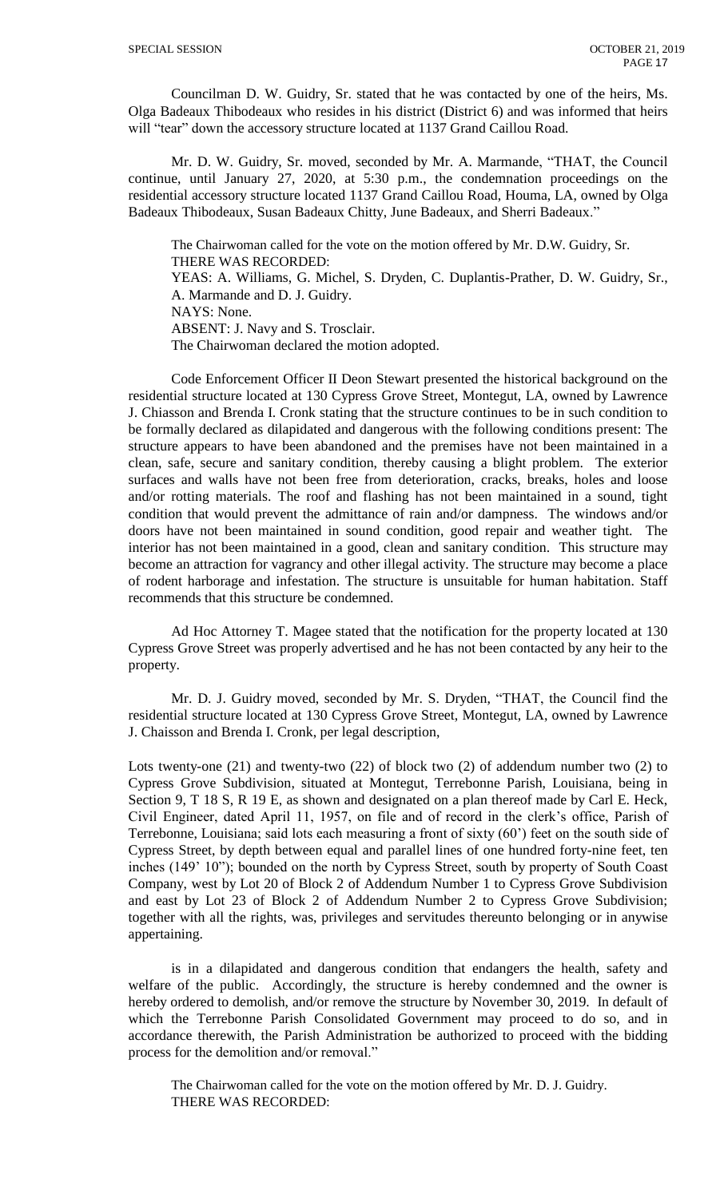Councilman D. W. Guidry, Sr. stated that he was contacted by one of the heirs, Ms. Olga Badeaux Thibodeaux who resides in his district (District 6) and was informed that heirs will "tear" down the accessory structure located at 1137 Grand Caillou Road.

Mr. D. W. Guidry, Sr. moved, seconded by Mr. A. Marmande, "THAT, the Council continue, until January 27, 2020, at 5:30 p.m., the condemnation proceedings on the residential accessory structure located 1137 Grand Caillou Road, Houma, LA, owned by Olga Badeaux Thibodeaux, Susan Badeaux Chitty, June Badeaux, and Sherri Badeaux."

The Chairwoman called for the vote on the motion offered by Mr. D.W. Guidry, Sr. THERE WAS RECORDED: YEAS: A. Williams, G. Michel, S. Dryden, C. Duplantis-Prather, D. W. Guidry, Sr., A. Marmande and D. J. Guidry. NAYS: None.

ABSENT: J. Navy and S. Trosclair.

The Chairwoman declared the motion adopted.

Code Enforcement Officer II Deon Stewart presented the historical background on the residential structure located at 130 Cypress Grove Street, Montegut, LA, owned by Lawrence J. Chiasson and Brenda I. Cronk stating that the structure continues to be in such condition to be formally declared as dilapidated and dangerous with the following conditions present: The structure appears to have been abandoned and the premises have not been maintained in a clean, safe, secure and sanitary condition, thereby causing a blight problem. The exterior surfaces and walls have not been free from deterioration, cracks, breaks, holes and loose and/or rotting materials. The roof and flashing has not been maintained in a sound, tight condition that would prevent the admittance of rain and/or dampness. The windows and/or doors have not been maintained in sound condition, good repair and weather tight. The interior has not been maintained in a good, clean and sanitary condition. This structure may become an attraction for vagrancy and other illegal activity. The structure may become a place of rodent harborage and infestation. The structure is unsuitable for human habitation. Staff recommends that this structure be condemned.

Ad Hoc Attorney T. Magee stated that the notification for the property located at 130 Cypress Grove Street was properly advertised and he has not been contacted by any heir to the property.

Mr. D. J. Guidry moved, seconded by Mr. S. Dryden, "THAT, the Council find the residential structure located at 130 Cypress Grove Street, Montegut, LA, owned by Lawrence J. Chaisson and Brenda I. Cronk, per legal description,

Lots twenty-one (21) and twenty-two (22) of block two (2) of addendum number two (2) to Cypress Grove Subdivision, situated at Montegut, Terrebonne Parish, Louisiana, being in Section 9, T 18 S, R 19 E, as shown and designated on a plan thereof made by Carl E. Heck, Civil Engineer, dated April 11, 1957, on file and of record in the clerk's office, Parish of Terrebonne, Louisiana; said lots each measuring a front of sixty (60') feet on the south side of Cypress Street, by depth between equal and parallel lines of one hundred forty-nine feet, ten inches (149' 10"); bounded on the north by Cypress Street, south by property of South Coast Company, west by Lot 20 of Block 2 of Addendum Number 1 to Cypress Grove Subdivision and east by Lot 23 of Block 2 of Addendum Number 2 to Cypress Grove Subdivision; together with all the rights, was, privileges and servitudes thereunto belonging or in anywise appertaining.

is in a dilapidated and dangerous condition that endangers the health, safety and welfare of the public. Accordingly, the structure is hereby condemned and the owner is hereby ordered to demolish, and/or remove the structure by November 30, 2019. In default of which the Terrebonne Parish Consolidated Government may proceed to do so, and in accordance therewith, the Parish Administration be authorized to proceed with the bidding process for the demolition and/or removal."

The Chairwoman called for the vote on the motion offered by Mr. D. J. Guidry. THERE WAS RECORDED: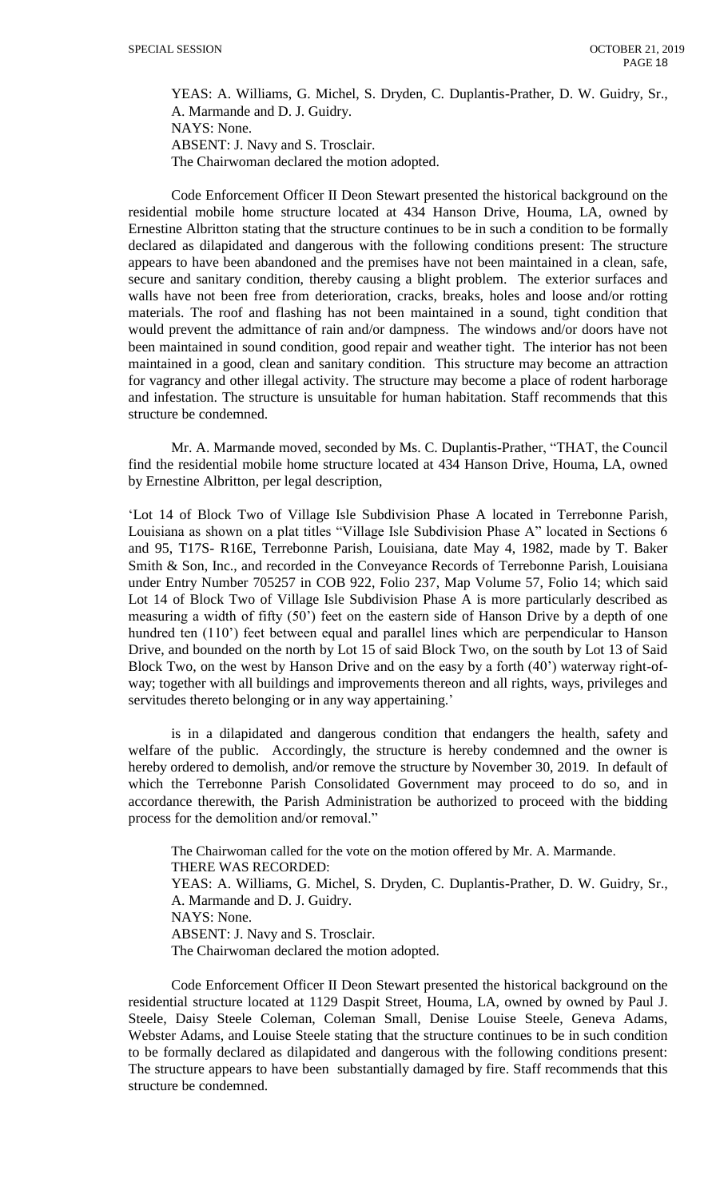YEAS: A. Williams, G. Michel, S. Dryden, C. Duplantis-Prather, D. W. Guidry, Sr., A. Marmande and D. J. Guidry. NAYS: None. ABSENT: J. Navy and S. Trosclair.

The Chairwoman declared the motion adopted.

Code Enforcement Officer II Deon Stewart presented the historical background on the residential mobile home structure located at 434 Hanson Drive, Houma, LA, owned by Ernestine Albritton stating that the structure continues to be in such a condition to be formally declared as dilapidated and dangerous with the following conditions present: The structure appears to have been abandoned and the premises have not been maintained in a clean, safe, secure and sanitary condition, thereby causing a blight problem. The exterior surfaces and walls have not been free from deterioration, cracks, breaks, holes and loose and/or rotting materials. The roof and flashing has not been maintained in a sound, tight condition that would prevent the admittance of rain and/or dampness. The windows and/or doors have not been maintained in sound condition, good repair and weather tight. The interior has not been maintained in a good, clean and sanitary condition. This structure may become an attraction for vagrancy and other illegal activity. The structure may become a place of rodent harborage and infestation. The structure is unsuitable for human habitation. Staff recommends that this structure be condemned.

Mr. A. Marmande moved, seconded by Ms. C. Duplantis-Prather, "THAT, the Council find the residential mobile home structure located at 434 Hanson Drive, Houma, LA, owned by Ernestine Albritton, per legal description,

'Lot 14 of Block Two of Village Isle Subdivision Phase A located in Terrebonne Parish, Louisiana as shown on a plat titles "Village Isle Subdivision Phase A" located in Sections 6 and 95, T17S- R16E, Terrebonne Parish, Louisiana, date May 4, 1982, made by T. Baker Smith & Son, Inc., and recorded in the Conveyance Records of Terrebonne Parish, Louisiana under Entry Number 705257 in COB 922, Folio 237, Map Volume 57, Folio 14; which said Lot 14 of Block Two of Village Isle Subdivision Phase A is more particularly described as measuring a width of fifty (50') feet on the eastern side of Hanson Drive by a depth of one hundred ten (110') feet between equal and parallel lines which are perpendicular to Hanson Drive, and bounded on the north by Lot 15 of said Block Two, on the south by Lot 13 of Said Block Two, on the west by Hanson Drive and on the easy by a forth (40') waterway right-ofway; together with all buildings and improvements thereon and all rights, ways, privileges and servitudes thereto belonging or in any way appertaining.'

is in a dilapidated and dangerous condition that endangers the health, safety and welfare of the public. Accordingly, the structure is hereby condemned and the owner is hereby ordered to demolish, and/or remove the structure by November 30, 2019. In default of which the Terrebonne Parish Consolidated Government may proceed to do so, and in accordance therewith, the Parish Administration be authorized to proceed with the bidding process for the demolition and/or removal."

The Chairwoman called for the vote on the motion offered by Mr. A. Marmande. THERE WAS RECORDED: YEAS: A. Williams, G. Michel, S. Dryden, C. Duplantis-Prather, D. W. Guidry, Sr., A. Marmande and D. J. Guidry. NAYS: None. ABSENT: J. Navy and S. Trosclair. The Chairwoman declared the motion adopted.

Code Enforcement Officer II Deon Stewart presented the historical background on the residential structure located at 1129 Daspit Street, Houma, LA, owned by owned by Paul J. Steele, Daisy Steele Coleman, Coleman Small, Denise Louise Steele, Geneva Adams, Webster Adams, and Louise Steele stating that the structure continues to be in such condition to be formally declared as dilapidated and dangerous with the following conditions present: The structure appears to have been substantially damaged by fire. Staff recommends that this structure be condemned.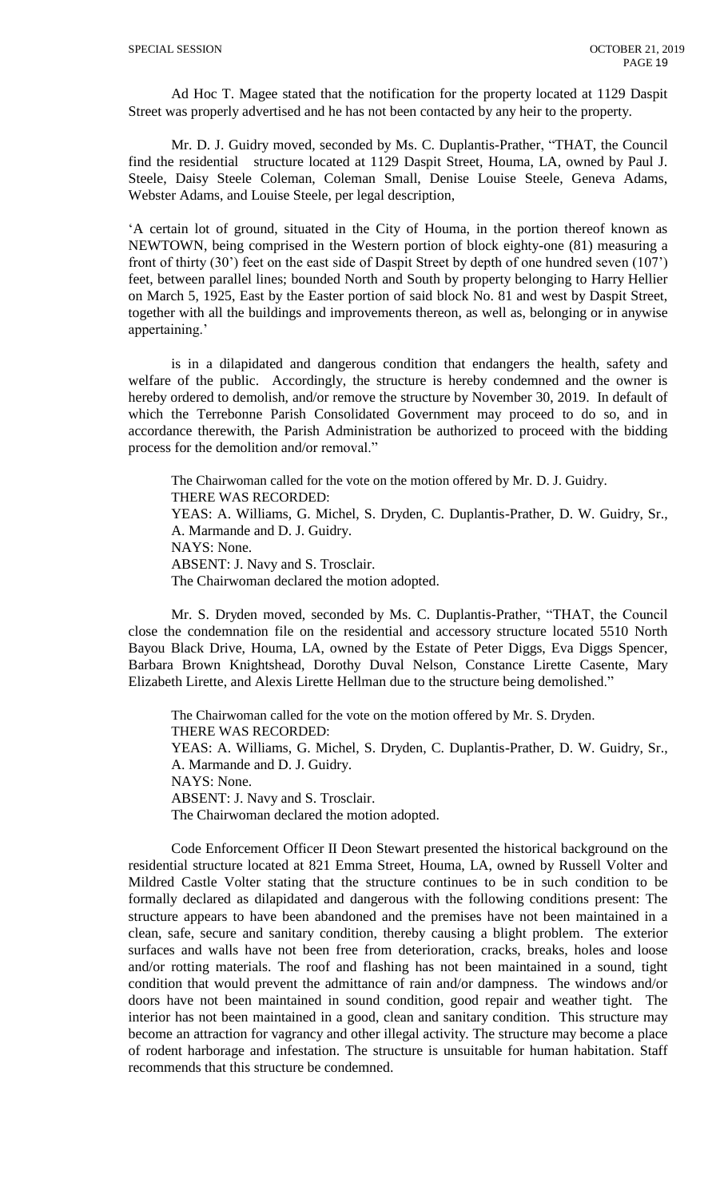Ad Hoc T. Magee stated that the notification for the property located at 1129 Daspit Street was properly advertised and he has not been contacted by any heir to the property.

Mr. D. J. Guidry moved, seconded by Ms. C. Duplantis-Prather, "THAT, the Council find the residential structure located at 1129 Daspit Street, Houma, LA, owned by Paul J. Steele, Daisy Steele Coleman, Coleman Small, Denise Louise Steele, Geneva Adams, Webster Adams, and Louise Steele, per legal description,

'A certain lot of ground, situated in the City of Houma, in the portion thereof known as NEWTOWN, being comprised in the Western portion of block eighty-one (81) measuring a front of thirty (30') feet on the east side of Daspit Street by depth of one hundred seven (107') feet, between parallel lines; bounded North and South by property belonging to Harry Hellier on March 5, 1925, East by the Easter portion of said block No. 81 and west by Daspit Street, together with all the buildings and improvements thereon, as well as, belonging or in anywise appertaining.'

is in a dilapidated and dangerous condition that endangers the health, safety and welfare of the public. Accordingly, the structure is hereby condemned and the owner is hereby ordered to demolish, and/or remove the structure by November 30, 2019. In default of which the Terrebonne Parish Consolidated Government may proceed to do so, and in accordance therewith, the Parish Administration be authorized to proceed with the bidding process for the demolition and/or removal."

The Chairwoman called for the vote on the motion offered by Mr. D. J. Guidry. THERE WAS RECORDED: YEAS: A. Williams, G. Michel, S. Dryden, C. Duplantis-Prather, D. W. Guidry, Sr., A. Marmande and D. J. Guidry. NAYS: None. ABSENT: J. Navy and S. Trosclair. The Chairwoman declared the motion adopted.

Mr. S. Dryden moved, seconded by Ms. C. Duplantis-Prather, "THAT, the Council close the condemnation file on the residential and accessory structure located 5510 North Bayou Black Drive, Houma, LA, owned by the Estate of Peter Diggs, Eva Diggs Spencer, Barbara Brown Knightshead, Dorothy Duval Nelson, Constance Lirette Casente, Mary Elizabeth Lirette, and Alexis Lirette Hellman due to the structure being demolished."

The Chairwoman called for the vote on the motion offered by Mr. S. Dryden. THERE WAS RECORDED: YEAS: A. Williams, G. Michel, S. Dryden, C. Duplantis-Prather, D. W. Guidry, Sr., A. Marmande and D. J. Guidry. NAYS: None. ABSENT: J. Navy and S. Trosclair. The Chairwoman declared the motion adopted.

Code Enforcement Officer II Deon Stewart presented the historical background on the residential structure located at 821 Emma Street, Houma, LA, owned by Russell Volter and Mildred Castle Volter stating that the structure continues to be in such condition to be formally declared as dilapidated and dangerous with the following conditions present: The structure appears to have been abandoned and the premises have not been maintained in a clean, safe, secure and sanitary condition, thereby causing a blight problem. The exterior surfaces and walls have not been free from deterioration, cracks, breaks, holes and loose and/or rotting materials. The roof and flashing has not been maintained in a sound, tight condition that would prevent the admittance of rain and/or dampness. The windows and/or doors have not been maintained in sound condition, good repair and weather tight. The interior has not been maintained in a good, clean and sanitary condition. This structure may become an attraction for vagrancy and other illegal activity. The structure may become a place of rodent harborage and infestation. The structure is unsuitable for human habitation. Staff recommends that this structure be condemned.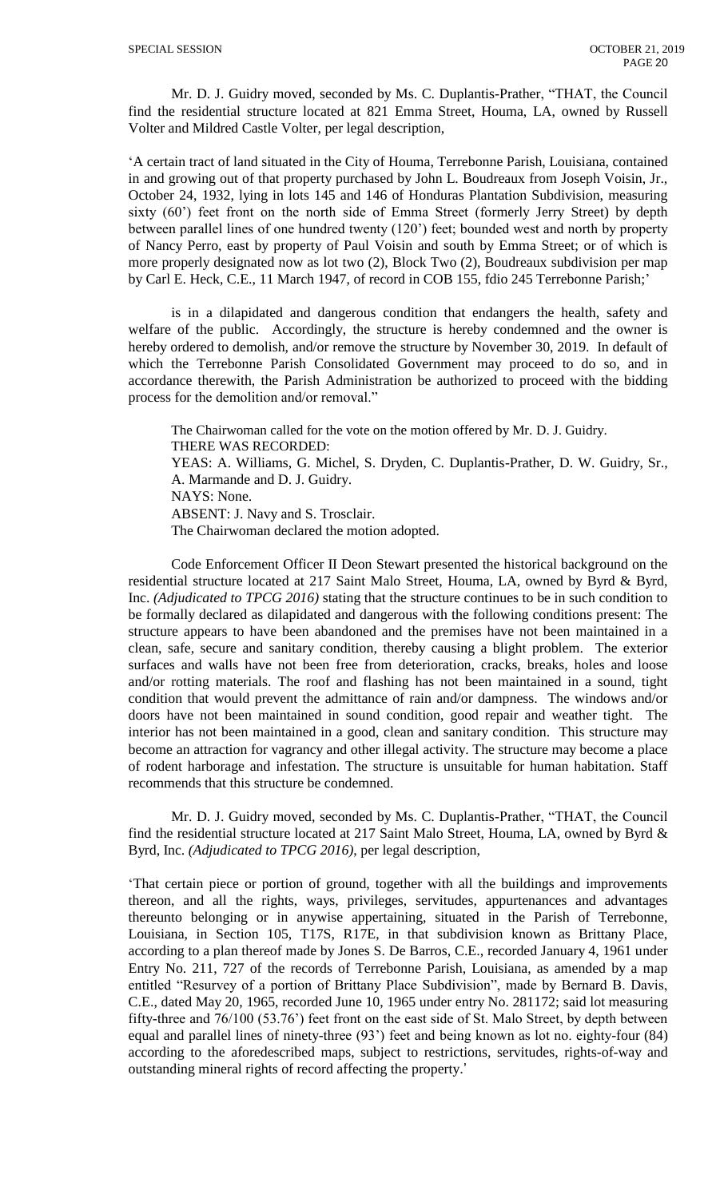Mr. D. J. Guidry moved, seconded by Ms. C. Duplantis-Prather, "THAT, the Council find the residential structure located at 821 Emma Street, Houma, LA, owned by Russell Volter and Mildred Castle Volter, per legal description,

'A certain tract of land situated in the City of Houma, Terrebonne Parish, Louisiana, contained in and growing out of that property purchased by John L. Boudreaux from Joseph Voisin, Jr., October 24, 1932, lying in lots 145 and 146 of Honduras Plantation Subdivision, measuring sixty (60') feet front on the north side of Emma Street (formerly Jerry Street) by depth between parallel lines of one hundred twenty (120') feet; bounded west and north by property of Nancy Perro, east by property of Paul Voisin and south by Emma Street; or of which is more properly designated now as lot two (2), Block Two (2), Boudreaux subdivision per map by Carl E. Heck, C.E., 11 March 1947, of record in COB 155, fdio 245 Terrebonne Parish;'

is in a dilapidated and dangerous condition that endangers the health, safety and welfare of the public. Accordingly, the structure is hereby condemned and the owner is hereby ordered to demolish, and/or remove the structure by November 30, 2019. In default of which the Terrebonne Parish Consolidated Government may proceed to do so, and in accordance therewith, the Parish Administration be authorized to proceed with the bidding process for the demolition and/or removal."

The Chairwoman called for the vote on the motion offered by Mr. D. J. Guidry. THERE WAS RECORDED: YEAS: A. Williams, G. Michel, S. Dryden, C. Duplantis-Prather, D. W. Guidry, Sr., A. Marmande and D. J. Guidry. NAYS: None. ABSENT: J. Navy and S. Trosclair. The Chairwoman declared the motion adopted.

Code Enforcement Officer II Deon Stewart presented the historical background on the residential structure located at 217 Saint Malo Street, Houma, LA, owned by Byrd & Byrd, Inc. *(Adjudicated to TPCG 2016)* stating that the structure continues to be in such condition to be formally declared as dilapidated and dangerous with the following conditions present: The structure appears to have been abandoned and the premises have not been maintained in a clean, safe, secure and sanitary condition, thereby causing a blight problem. The exterior surfaces and walls have not been free from deterioration, cracks, breaks, holes and loose and/or rotting materials. The roof and flashing has not been maintained in a sound, tight condition that would prevent the admittance of rain and/or dampness. The windows and/or doors have not been maintained in sound condition, good repair and weather tight. The interior has not been maintained in a good, clean and sanitary condition. This structure may become an attraction for vagrancy and other illegal activity. The structure may become a place of rodent harborage and infestation. The structure is unsuitable for human habitation. Staff recommends that this structure be condemned.

Mr. D. J. Guidry moved, seconded by Ms. C. Duplantis-Prather, "THAT, the Council find the residential structure located at 217 Saint Malo Street, Houma, LA, owned by Byrd & Byrd, Inc. *(Adjudicated to TPCG 2016)*, per legal description,

'That certain piece or portion of ground, together with all the buildings and improvements thereon, and all the rights, ways, privileges, servitudes, appurtenances and advantages thereunto belonging or in anywise appertaining, situated in the Parish of Terrebonne, Louisiana, in Section 105, T17S, R17E, in that subdivision known as Brittany Place, according to a plan thereof made by Jones S. De Barros, C.E., recorded January 4, 1961 under Entry No. 211, 727 of the records of Terrebonne Parish, Louisiana, as amended by a map entitled "Resurvey of a portion of Brittany Place Subdivision", made by Bernard B. Davis, C.E., dated May 20, 1965, recorded June 10, 1965 under entry No. 281172; said lot measuring fifty-three and 76/100 (53.76') feet front on the east side of St. Malo Street, by depth between equal and parallel lines of ninety-three (93') feet and being known as lot no. eighty-four (84) according to the aforedescribed maps, subject to restrictions, servitudes, rights-of-way and outstanding mineral rights of record affecting the property.'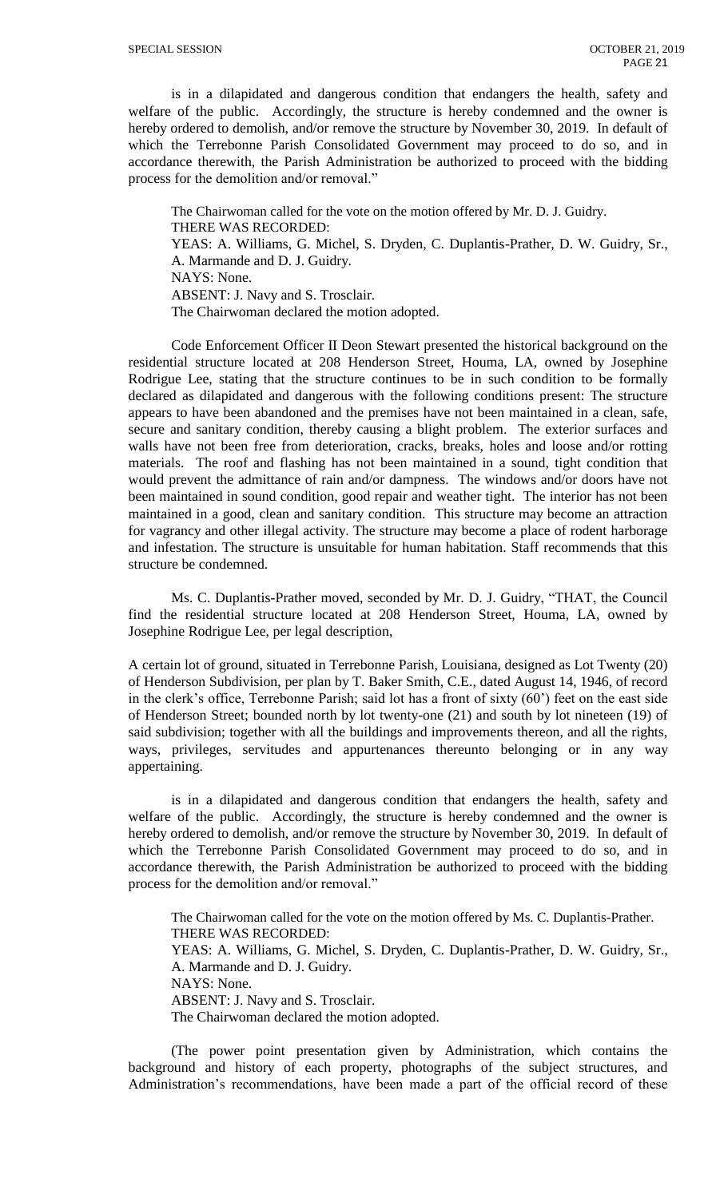is in a dilapidated and dangerous condition that endangers the health, safety and welfare of the public. Accordingly, the structure is hereby condemned and the owner is hereby ordered to demolish, and/or remove the structure by November 30, 2019. In default of which the Terrebonne Parish Consolidated Government may proceed to do so, and in accordance therewith, the Parish Administration be authorized to proceed with the bidding process for the demolition and/or removal."

The Chairwoman called for the vote on the motion offered by Mr. D. J. Guidry. THERE WAS RECORDED: YEAS: A. Williams, G. Michel, S. Dryden, C. Duplantis-Prather, D. W. Guidry, Sr., A. Marmande and D. J. Guidry. NAYS: None. ABSENT: J. Navy and S. Trosclair. The Chairwoman declared the motion adopted.

Code Enforcement Officer II Deon Stewart presented the historical background on the residential structure located at 208 Henderson Street, Houma, LA, owned by Josephine Rodrigue Lee, stating that the structure continues to be in such condition to be formally declared as dilapidated and dangerous with the following conditions present: The structure appears to have been abandoned and the premises have not been maintained in a clean, safe, secure and sanitary condition, thereby causing a blight problem. The exterior surfaces and walls have not been free from deterioration, cracks, breaks, holes and loose and/or rotting materials. The roof and flashing has not been maintained in a sound, tight condition that would prevent the admittance of rain and/or dampness. The windows and/or doors have not been maintained in sound condition, good repair and weather tight. The interior has not been maintained in a good, clean and sanitary condition. This structure may become an attraction for vagrancy and other illegal activity. The structure may become a place of rodent harborage and infestation. The structure is unsuitable for human habitation. Staff recommends that this structure be condemned.

Ms. C. Duplantis-Prather moved, seconded by Mr. D. J. Guidry, "THAT, the Council find the residential structure located at 208 Henderson Street, Houma, LA, owned by Josephine Rodrigue Lee, per legal description,

A certain lot of ground, situated in Terrebonne Parish, Louisiana, designed as Lot Twenty (20) of Henderson Subdivision, per plan by T. Baker Smith, C.E., dated August 14, 1946, of record in the clerk's office, Terrebonne Parish; said lot has a front of sixty (60') feet on the east side of Henderson Street; bounded north by lot twenty-one (21) and south by lot nineteen (19) of said subdivision; together with all the buildings and improvements thereon, and all the rights, ways, privileges, servitudes and appurtenances thereunto belonging or in any way appertaining.

is in a dilapidated and dangerous condition that endangers the health, safety and welfare of the public. Accordingly, the structure is hereby condemned and the owner is hereby ordered to demolish, and/or remove the structure by November 30, 2019. In default of which the Terrebonne Parish Consolidated Government may proceed to do so, and in accordance therewith, the Parish Administration be authorized to proceed with the bidding process for the demolition and/or removal."

The Chairwoman called for the vote on the motion offered by Ms. C. Duplantis-Prather. THERE WAS RECORDED: YEAS: A. Williams, G. Michel, S. Dryden, C. Duplantis-Prather, D. W. Guidry, Sr., A. Marmande and D. J. Guidry. NAYS: None. ABSENT: J. Navy and S. Trosclair. The Chairwoman declared the motion adopted.

(The power point presentation given by Administration, which contains the background and history of each property, photographs of the subject structures, and Administration's recommendations, have been made a part of the official record of these